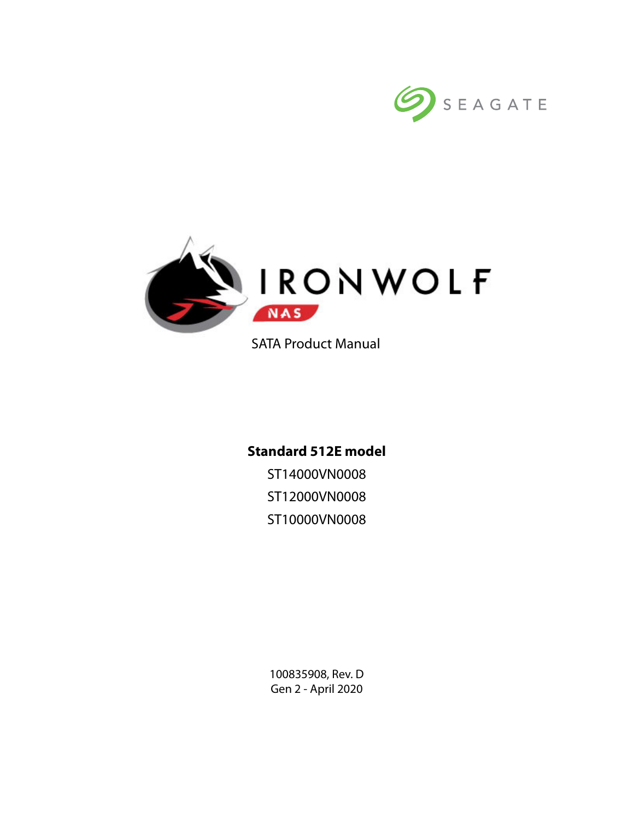



SATA Product Manual

# **Standard 512E model**

ST14000VN0008 ST12000VN0008 ST10000VN0008

100835908, Rev. D Gen 2 - April 2020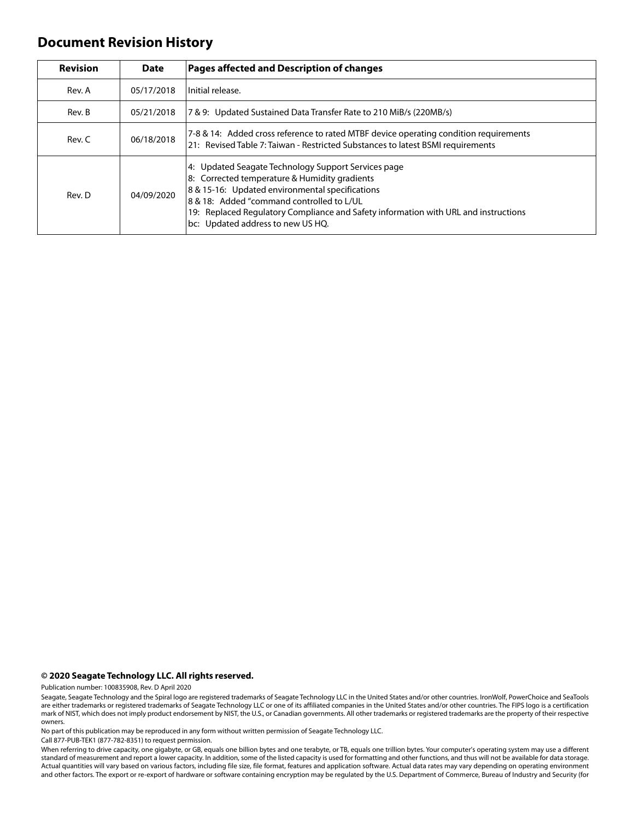## **Document Revision History**

| <b>Revision</b> | <b>Date</b> | <b>Pages affected and Description of changes</b>                                                                                                                                                                                                                                                                                 |
|-----------------|-------------|----------------------------------------------------------------------------------------------------------------------------------------------------------------------------------------------------------------------------------------------------------------------------------------------------------------------------------|
| Rev. A          | 05/17/2018  | Initial release.                                                                                                                                                                                                                                                                                                                 |
| Rev. B          | 05/21/2018  | 7 & 9: Updated Sustained Data Transfer Rate to 210 MiB/s (220MB/s)                                                                                                                                                                                                                                                               |
| Rev. C          | 06/18/2018  | 7-8 & 14: Added cross reference to rated MTBF device operating condition requirements<br>21: Revised Table 7: Taiwan - Restricted Substances to latest BSMI requirements                                                                                                                                                         |
| Rev. D          | 04/09/2020  | 4: Updated Seagate Technology Support Services page<br>8: Corrected temperature & Humidity gradients<br>8 & 15-16: Updated environmental specifications<br>8 & 18: Added "command controlled to L/UL<br>19: Replaced Regulatory Compliance and Safety information with URL and instructions<br>bc: Updated address to new US HQ. |

#### **© 2020 Seagate Technology LLC. All rights reserved.**

Publication number: 100835908, Rev. D April 2020

No part of this publication may be reproduced in any form without written permission of Seagate Technology LLC.

Call 877-PUB-TEK1 (877-782-8351) to request permission.

When referring to drive capacity, one gigabyte, or GB, equals one billion bytes and one terabyte, or TB, equals one trillion bytes. Your computer's operating system may use a different standard of measurement and report a lower capacity. In addition, some of the listed capacity is used for formatting and other functions, and thus will not be available for data storage. Actual quantities will vary based on various factors, including file size, file format, features and application software. Actual data rates may vary depending on operating environment and other factors. The export or re-export of hardware or software containing encryption may be regulated by the U.S. Department of Commerce, Bureau of Industry and Security (for

Seagate, Seagate Technology and the Spiral logo are registered trademarks of Seagate Technology LLC in the United States and/or other countries. IronWolf, PowerChoice and SeaTools are either trademarks or registered trademarks of Seagate Technology LLC or one of its affiliated companies in the United States and/or other countries. The FIPS logo is a certification<br>mark of NIST, which does not imply p owners.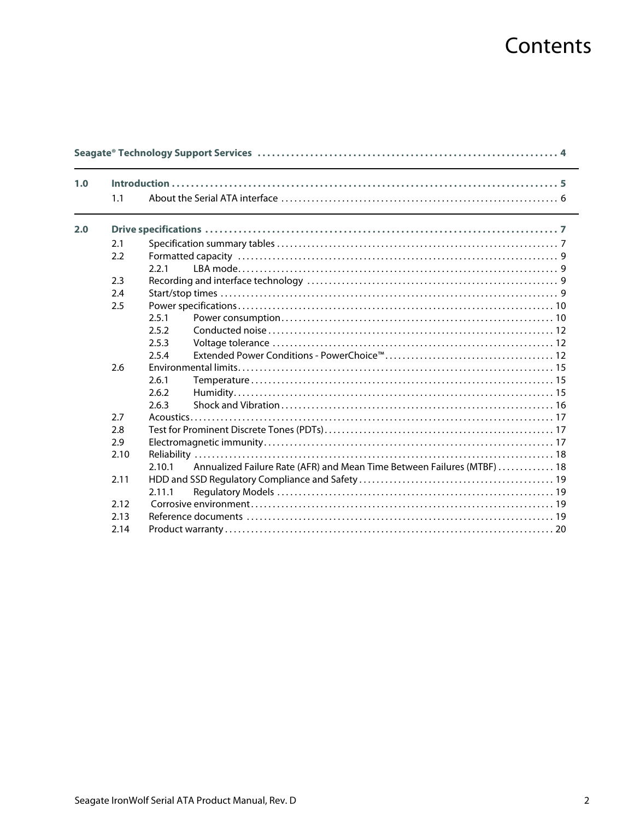# Contents

| 1.0 |      |                                                                                   |  |
|-----|------|-----------------------------------------------------------------------------------|--|
|     | 1.1  |                                                                                   |  |
| 2.0 |      |                                                                                   |  |
|     | 2.1  |                                                                                   |  |
|     | 2.2  |                                                                                   |  |
|     |      | 2.2.1                                                                             |  |
|     | 2.3  |                                                                                   |  |
|     | 2.4  |                                                                                   |  |
|     | 2.5  |                                                                                   |  |
|     |      | 2.5.1                                                                             |  |
|     |      | 2.5.2                                                                             |  |
|     |      | 2.5.3                                                                             |  |
|     |      | 2.5.4                                                                             |  |
|     | 2.6  |                                                                                   |  |
|     |      | 2.6.1                                                                             |  |
|     |      | 2.6.2                                                                             |  |
|     |      | 2.6.3                                                                             |  |
|     | 2.7  |                                                                                   |  |
|     | 2.8  |                                                                                   |  |
|     | 2.9  |                                                                                   |  |
|     | 2.10 |                                                                                   |  |
|     |      | Annualized Failure Rate (AFR) and Mean Time Between Failures (MTBF)  18<br>2.10.1 |  |
|     | 2.11 |                                                                                   |  |
|     |      | 2.11.1                                                                            |  |
|     | 2.12 |                                                                                   |  |
|     | 2.13 |                                                                                   |  |
|     | 2.14 |                                                                                   |  |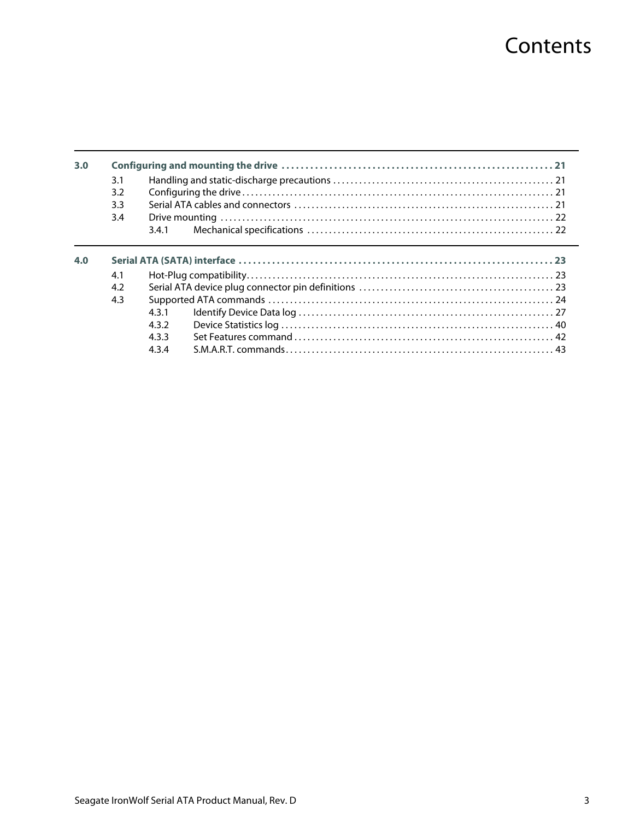# **Contents**

| 3.0 | 3.1 |       |  |
|-----|-----|-------|--|
|     | 3.2 |       |  |
|     | 3.3 |       |  |
|     | 3.4 |       |  |
|     |     | 3.4.1 |  |
| 4.0 | 4.1 |       |  |
|     |     |       |  |
|     | 4.2 |       |  |
|     |     |       |  |
|     | 4.3 |       |  |
|     |     | 431   |  |
|     |     | 4.3.2 |  |
|     |     | 433   |  |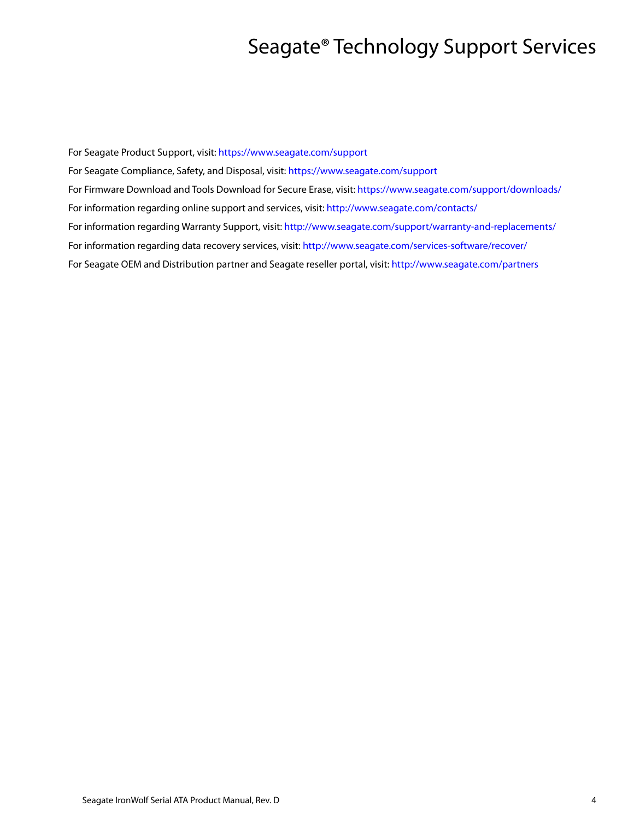# Seagate® Technology Support Services

<span id="page-4-0"></span>For Seagate Product Support, visit:<https://www.seagate.com/support> For Seagate Compliance, Safety, and Disposal, visit: <https://www.seagate.com/support> [For Firmware Download and Tools Download for Secure Erase, visit:](https://www.seagate.com/support/downloads/) https://www.seagate.com/support/downloads/ For information regarding online support and services, visit:<http://www.seagate.com/contacts/> [For information regarding Warranty Support, visit: h](http://www.seagate.com/support/warranty-and-replacements/)ttp://www.seagate.com/support/warranty-and-replacements/ For information regarding data recovery services, visit: [http://www.seagate.com/services-software/recover/](http://www.seagate.com/services-software/seagate-recovery-services/recover/) [For Seagate OEM and Distribution partner and Seagate reseller portal, visit:](http://www.seagate.com/partners) http://www.seagate.com/partners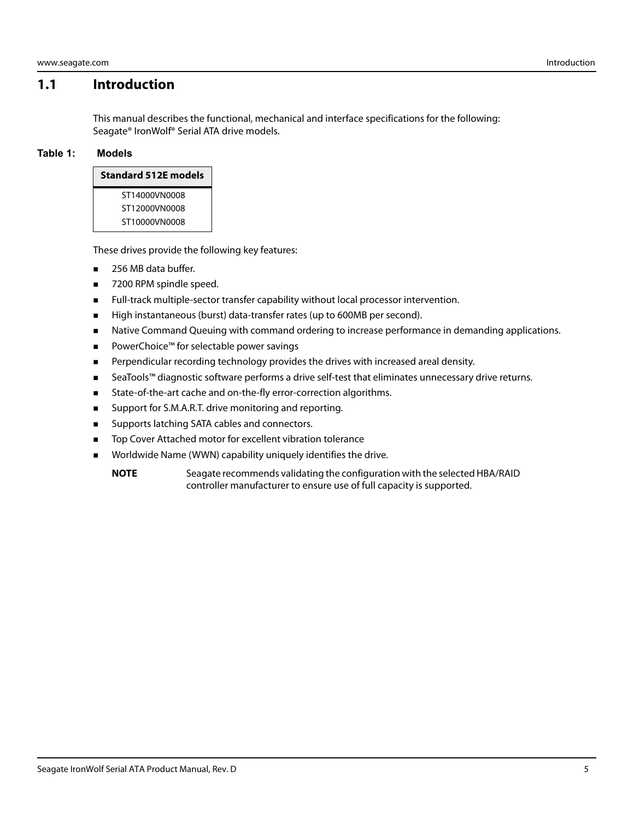### <span id="page-5-0"></span>**1.1 Introduction**

This manual describes the functional, mechanical and interface specifications for the following: Seagate® IronWolf® Serial ATA drive models.

#### **Table 1: Models**

ST14000VN0008 ST12000VN0008 ST10000VN0008

These drives provide the following key features:

- 256 MB data buffer.
- 7200 RPM spindle speed.
- Full-track multiple-sector transfer capability without local processor intervention.
- **High instantaneous (burst) data-transfer rates (up to 600MB per second).**
- **Native Command Queuing with command ordering to increase performance in demanding applications.**
- PowerChoice™ for selectable power savings
- **Perpendicular recording technology provides the drives with increased areal density.**
- SeaTools™ diagnostic software performs a drive self-test that eliminates unnecessary drive returns.
- **State-of-the-art cache and on-the-fly error-correction algorithms.**
- **Support for S.M.A.R.T. drive monitoring and reporting.**
- **Bark Supports latching SATA cables and connectors.**
- Top Cover Attached motor for excellent vibration tolerance
- **Norldwide Name (WWN) capability uniquely identifies the drive.** 
	- **NOTE** Seagate recommends validating the configuration with the selected HBA/RAID controller manufacturer to ensure use of full capacity is supported.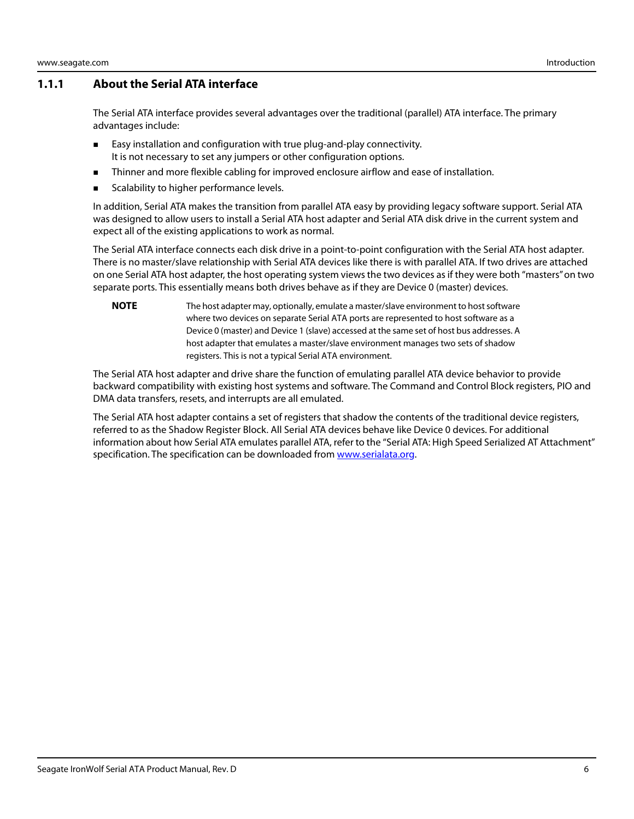#### <span id="page-6-0"></span>**1.1.1 About the Serial ATA interface**

The Serial ATA interface provides several advantages over the traditional (parallel) ATA interface. The primary advantages include:

- **Easy installation and configuration with true plug-and-play connectivity.** It is not necessary to set any jumpers or other configuration options.
- **Thinner and more flexible cabling for improved enclosure airflow and ease of installation.**
- Scalability to higher performance levels.

In addition, Serial ATA makes the transition from parallel ATA easy by providing legacy software support. Serial ATA was designed to allow users to install a Serial ATA host adapter and Serial ATA disk drive in the current system and expect all of the existing applications to work as normal.

The Serial ATA interface connects each disk drive in a point-to-point configuration with the Serial ATA host adapter. There is no master/slave relationship with Serial ATA devices like there is with parallel ATA. If two drives are attached on one Serial ATA host adapter, the host operating system views the two devices as if they were both "masters" on two separate ports. This essentially means both drives behave as if they are Device 0 (master) devices.

**NOTE** The host adapter may, optionally, emulate a master/slave environment to host software where two devices on separate Serial ATA ports are represented to host software as a Device 0 (master) and Device 1 (slave) accessed at the same set of host bus addresses. A host adapter that emulates a master/slave environment manages two sets of shadow registers. This is not a typical Serial ATA environment.

The Serial ATA host adapter and drive share the function of emulating parallel ATA device behavior to provide backward compatibility with existing host systems and software. The Command and Control Block registers, PIO and DMA data transfers, resets, and interrupts are all emulated.

The Serial ATA host adapter contains a set of registers that shadow the contents of the traditional device registers, referred to as the Shadow Register Block. All Serial ATA devices behave like Device 0 devices. For additional information about how Serial ATA emulates parallel ATA, refer to the "Serial ATA: High Speed Serialized AT Attachment" specification. The specification can be downloaded from **[www.serialata.or](http://www.serialata.org)g**.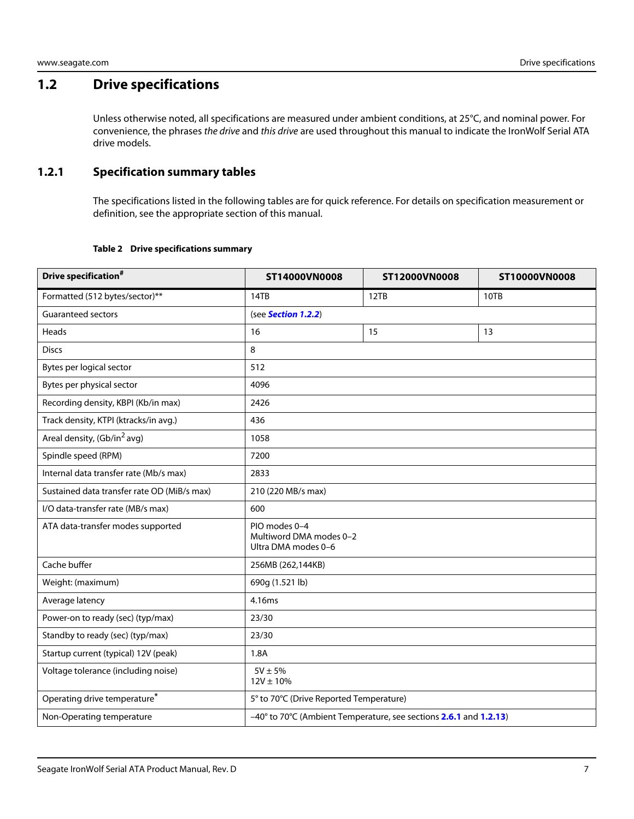# <span id="page-7-0"></span>**1.2 Drive specifications**

Unless otherwise noted, all specifications are measured under ambient conditions, at 25°C, and nominal power. For convenience, the phrases the drive and this drive are used throughout this manual to indicate the IronWolf Serial ATA drive models.

### <span id="page-7-1"></span>**1.2.1 Specification summary tables**

The specifications listed in the following tables are for quick reference. For details on specification measurement or definition, see the appropriate section of this manual.

#### **Table 2 Drive specifications summary**

<span id="page-7-2"></span>

| Drive specification <sup>#</sup>            | ST14000VN0008                                                   | ST12000VN0008                                                     | ST10000VN0008 |
|---------------------------------------------|-----------------------------------------------------------------|-------------------------------------------------------------------|---------------|
| Formatted (512 bytes/sector)**              | 14TB                                                            | 12TB                                                              | 10TB          |
| <b>Guaranteed sectors</b>                   | (see Section 1.2.2)                                             |                                                                   |               |
| Heads                                       | 16                                                              | 15                                                                | 13            |
| <b>Discs</b>                                | 8                                                               |                                                                   |               |
| Bytes per logical sector                    | 512                                                             |                                                                   |               |
| Bytes per physical sector                   | 4096                                                            |                                                                   |               |
| Recording density, KBPI (Kb/in max)         | 2426                                                            |                                                                   |               |
| Track density, KTPI (ktracks/in avg.)       | 436                                                             |                                                                   |               |
| Areal density, (Gb/in <sup>2</sup> avg)     | 1058                                                            |                                                                   |               |
| Spindle speed (RPM)                         | 7200                                                            |                                                                   |               |
| Internal data transfer rate (Mb/s max)      | 2833                                                            |                                                                   |               |
| Sustained data transfer rate OD (MiB/s max) | 210 (220 MB/s max)                                              |                                                                   |               |
| I/O data-transfer rate (MB/s max)           | 600                                                             |                                                                   |               |
| ATA data-transfer modes supported           | PIO modes 0-4<br>Multiword DMA modes 0-2<br>Ultra DMA modes 0-6 |                                                                   |               |
| Cache buffer                                | 256MB (262,144KB)                                               |                                                                   |               |
| Weight: (maximum)                           | 690g (1.521 lb)                                                 |                                                                   |               |
| Average latency                             | 4.16ms                                                          |                                                                   |               |
| Power-on to ready (sec) (typ/max)           | 23/30                                                           |                                                                   |               |
| Standby to ready (sec) (typ/max)            | 23/30                                                           |                                                                   |               |
| Startup current (typical) 12V (peak)        | 1.8A                                                            |                                                                   |               |
| Voltage tolerance (including noise)         | $5V \pm 5%$<br>$12V \pm 10\%$                                   |                                                                   |               |
| Operating drive temperature <sup>*</sup>    | 5° to 70°C (Drive Reported Temperature)                         |                                                                   |               |
| Non-Operating temperature                   |                                                                 | -40° to 70°C (Ambient Temperature, see sections 2.6.1 and 1.2.13) |               |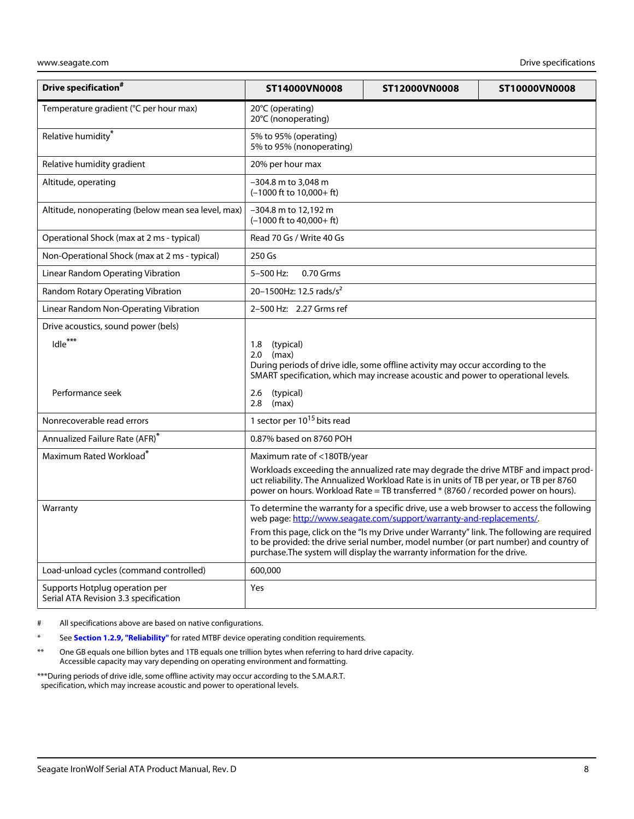| Drive specification <sup>#</sup>                                        | ST14000VN0008                                                                                                                                                                                                                                                                                                                                                                                                                         | ST12000VN0008 | ST10000VN0008                                                                       |
|-------------------------------------------------------------------------|---------------------------------------------------------------------------------------------------------------------------------------------------------------------------------------------------------------------------------------------------------------------------------------------------------------------------------------------------------------------------------------------------------------------------------------|---------------|-------------------------------------------------------------------------------------|
| Temperature gradient (°C per hour max)                                  | 20°C (operating)<br>20°C (nonoperating)                                                                                                                                                                                                                                                                                                                                                                                               |               |                                                                                     |
| Relative humidity*                                                      | 5% to 95% (operating)<br>5% to 95% (nonoperating)                                                                                                                                                                                                                                                                                                                                                                                     |               |                                                                                     |
| Relative humidity gradient                                              | 20% per hour max                                                                                                                                                                                                                                                                                                                                                                                                                      |               |                                                                                     |
| Altitude, operating                                                     | -304.8 m to 3,048 m<br>$(-1000$ ft to $10.000 + ft$ )                                                                                                                                                                                                                                                                                                                                                                                 |               |                                                                                     |
| Altitude, nonoperating (below mean sea level, max)                      | $-304.8$ m to 12,192 m<br>$(-1000$ ft to $40.000 + ft$ )                                                                                                                                                                                                                                                                                                                                                                              |               |                                                                                     |
| Operational Shock (max at 2 ms - typical)                               | Read 70 Gs / Write 40 Gs                                                                                                                                                                                                                                                                                                                                                                                                              |               |                                                                                     |
| Non-Operational Shock (max at 2 ms - typical)                           | 250 Gs                                                                                                                                                                                                                                                                                                                                                                                                                                |               |                                                                                     |
| Linear Random Operating Vibration                                       | 5-500 Hz:<br>0.70 Grms                                                                                                                                                                                                                                                                                                                                                                                                                |               |                                                                                     |
| Random Rotary Operating Vibration                                       | 20-1500Hz: 12.5 rads/s <sup>2</sup>                                                                                                                                                                                                                                                                                                                                                                                                   |               |                                                                                     |
| Linear Random Non-Operating Vibration                                   | 2-500 Hz: 2.27 Grms ref                                                                                                                                                                                                                                                                                                                                                                                                               |               |                                                                                     |
| Drive acoustics, sound power (bels)                                     |                                                                                                                                                                                                                                                                                                                                                                                                                                       |               |                                                                                     |
| Idle <sup>***</sup><br>Performance seek                                 | 1.8<br>(typical)<br>2.0<br>(max)<br>During periods of drive idle, some offline activity may occur according to the<br>SMART specification, which may increase acoustic and power to operational levels.<br>2.6<br>(typical)<br>2.8<br>(max)                                                                                                                                                                                           |               |                                                                                     |
| Nonrecoverable read errors                                              | 1 sector per 10 <sup>15</sup> bits read                                                                                                                                                                                                                                                                                                                                                                                               |               |                                                                                     |
| Annualized Failure Rate (AFR)*                                          | 0.87% based on 8760 POH                                                                                                                                                                                                                                                                                                                                                                                                               |               |                                                                                     |
| Maximum Rated Workload <sup>*</sup>                                     | Maximum rate of <180TB/year<br>uct reliability. The Annualized Workload Rate is in units of TB per year, or TB per 8760<br>power on hours. Workload Rate = TB transferred * (8760 / recorded power on hours).                                                                                                                                                                                                                         |               | Workloads exceeding the annualized rate may degrade the drive MTBF and impact prod- |
| Warranty                                                                | To determine the warranty for a specific drive, use a web browser to access the following<br>web page: http://www.seagate.com/support/warranty-and-replacements/.<br>From this page, click on the "Is my Drive under Warranty" link. The following are required<br>to be provided: the drive serial number, model number (or part number) and country of<br>purchase. The system will display the warranty information for the drive. |               |                                                                                     |
| Load-unload cycles (command controlled)                                 | 600,000                                                                                                                                                                                                                                                                                                                                                                                                                               |               |                                                                                     |
| Supports Hotplug operation per<br>Serial ATA Revision 3.3 specification | Yes                                                                                                                                                                                                                                                                                                                                                                                                                                   |               |                                                                                     |

# All specifications above are based on native configurations.

- See **[Section 1.2.9, "Reliability"](#page-18-0)** for rated MTBF device operating condition requirements.
- \*\* One GB equals one billion bytes and 1TB equals one trillion bytes when referring to hard drive capacity. Accessible capacity may vary depending on operating environment and formatting.

<span id="page-8-0"></span>\*\*\*During periods of drive idle, some offline activity may occur according to the S.M.A.R.T. specification, which may increase acoustic and power to operational levels.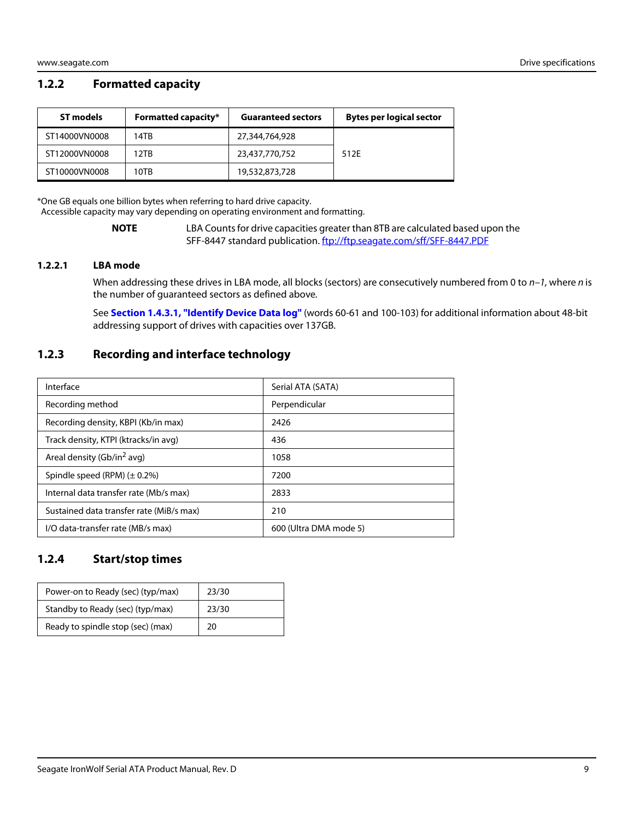#### <span id="page-9-0"></span>**1.2.2 Formatted capacity**

| ST models     | <b>Formatted capacity*</b> | <b>Guaranteed sectors</b> | <b>Bytes per logical sector</b> |
|---------------|----------------------------|---------------------------|---------------------------------|
| ST14000VN0008 | 14TR                       | 27,344,764,928            |                                 |
| ST12000VN0008 | 12TR                       | 23,437,770,752            | 512E                            |
| ST10000VN0008 | 10TB                       | 19,532,873,728            |                                 |

\*One GB equals one billion bytes when referring to hard drive capacity. Accessible capacity may vary depending on operating environment and formatting.

> **NOTE** LBA Counts for drive capacities greater than 8TB are calculated based upon the SFF-8447 standard publication. [ftp://ftp.seag](ftp://ftp.seagate.com/sff/SFF-8447.PDF)ate.com/sff/SFF-8447.PDF

#### <span id="page-9-1"></span>**1.2.2.1 LBA mode**

When addressing these drives in LBA mode, all blocks (sectors) are consecutively numbered from 0 to  $n-1$ , where n is the number of guaranteed sectors as defined above.

See **[Section 1.4.3.1, "Identify Device Data log"](#page-27-0)** (words 60-61 and 100-103) for additional information about 48-bit addressing support of drives with capacities over 137GB.

#### <span id="page-9-2"></span>**1.2.3 Recording and interface technology**

| Interface                                | Serial ATA (SATA)      |
|------------------------------------------|------------------------|
| Recording method                         | Perpendicular          |
| Recording density, KBPI (Kb/in max)      | 2426                   |
| Track density, KTPI (ktracks/in avg)     | 436                    |
| Areal density (Gb/in <sup>2</sup> avg)   | 1058                   |
| Spindle speed (RPM) $(\pm 0.2\%)$        | 7200                   |
| Internal data transfer rate (Mb/s max)   | 2833                   |
| Sustained data transfer rate (MiB/s max) | 210                    |
| I/O data-transfer rate (MB/s max)        | 600 (Ultra DMA mode 5) |

#### <span id="page-9-3"></span>**1.2.4 Start/stop times**

| Power-on to Ready (sec) (typ/max) | 23/30 |
|-----------------------------------|-------|
| Standby to Ready (sec) (typ/max)  | 23/30 |
| Ready to spindle stop (sec) (max) | 20    |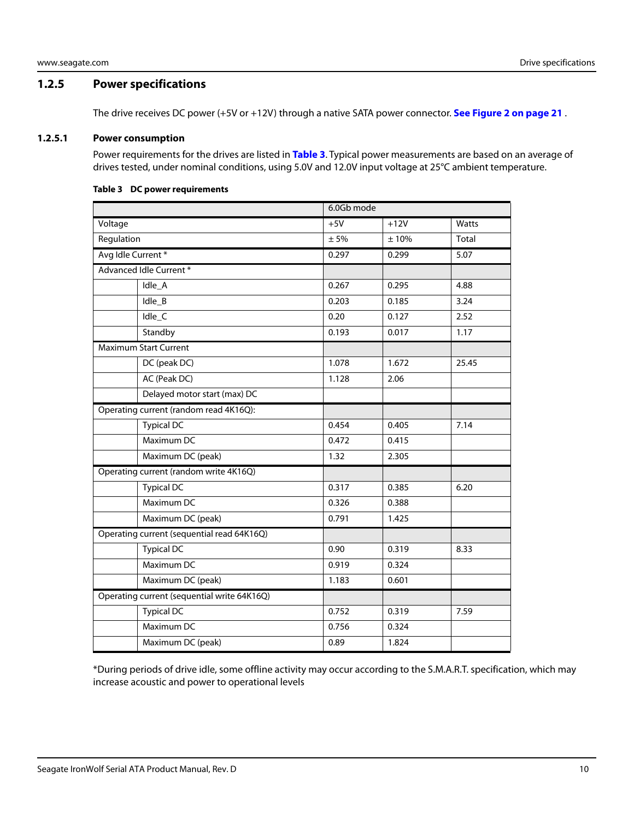#### <span id="page-10-0"></span>**1.2.5 Power specifications**

The drive receives DC power (+5V or +12V) through a native SATA power connector. **[See Figure 2 on page 21](#page-21-4)** .

#### <span id="page-10-1"></span>**1.2.5.1 Power consumption**

Power requirements for the drives are listed in **Table 3**. Typical power measurements are based on an average of drives tested, under nominal conditions, using 5.0V and 12.0V input voltage at 25°C ambient temperature.

# 6.0Gb mode Voltage +5V +12V Watts Regulation  $\pm 5\%$   $\pm 10\%$  Total Avg Idle Current \* 2002/02/2003 10.299 5.07 Advanced Idle Current \* Idle\_A 0.267 0.295 4.88 Idle\_B 0.203 0.185 3.24 Idle\_C 0.20 0.127 2.52 Standby 1.17 | 0.193 | 0.017 | 1.17 Maximum Start Current DC (peak DC) 1.078 1.672 25.45 AC (Peak DC) 1.128 2.06 Delayed motor start (max) DC Operating current (random read 4K16Q): Typical DC 0.454 0.405 7.14 Maximum DC 0.472 0.415 Maximum DC (peak) 1.32 2.305 Operating current (random write 4K16Q) Typical DC 10.317 10.385 6.20 Maximum DC 0.326 0.388 Maximum DC (peak) 0.791 1.425 Operating current (sequential read 64K16Q) Typical DC 10.90 0.319 8.33 Maximum DC 0.919 0.324 Maximum DC (peak) 1.183 0.601 Operating current (sequential write 64K16Q) Typical DC 1.59 Maximum DC 0.756 0.324 Maximum DC (peak) 0.89 1.824

#### **Table 3 DC power requirements**

\*During periods of drive idle, some offline activity may occur according to the S.M.A.R.T. specification, which may increase acoustic and power to operational levels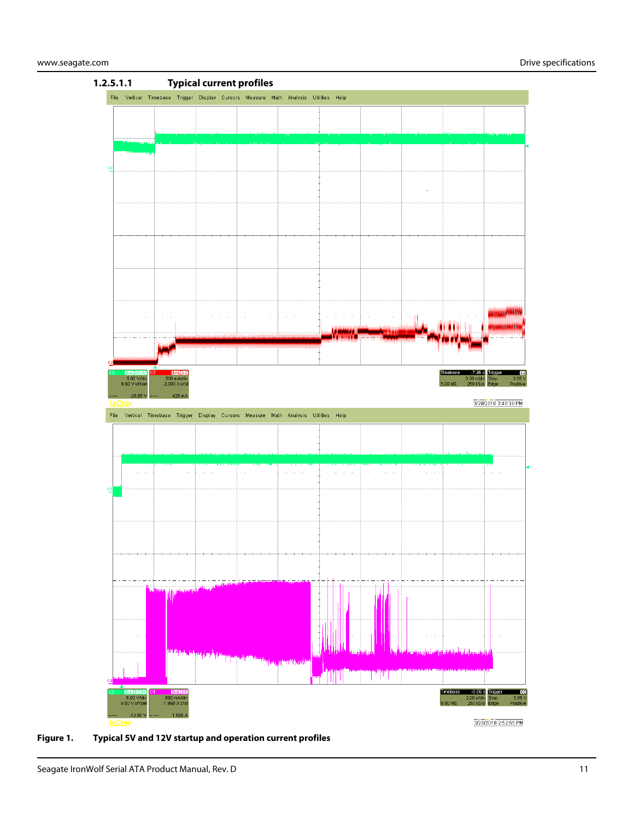

**Figure 1. Typical 5V and 12V startup and operation current profiles**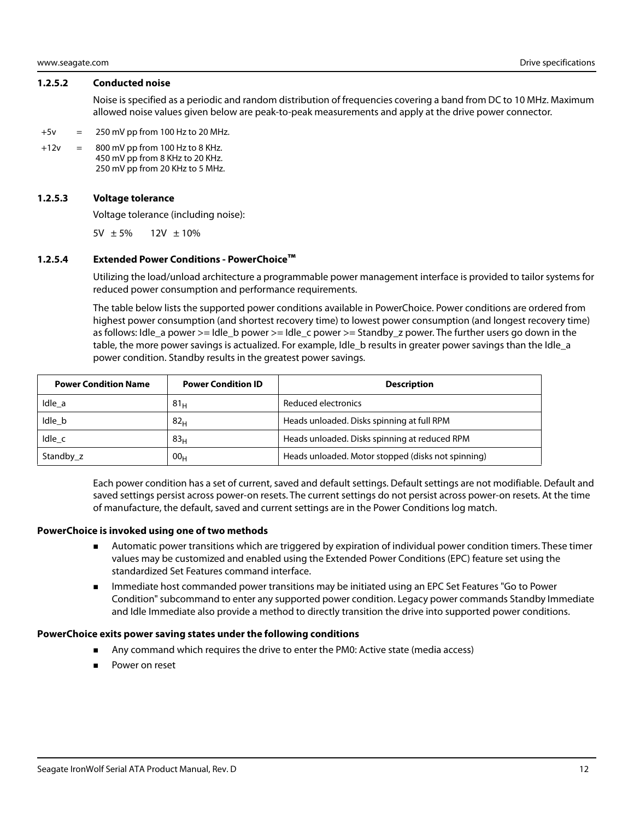#### <span id="page-12-0"></span>**1.2.5.2 Conducted noise**

Noise is specified as a periodic and random distribution of frequencies covering a band from DC to 10 MHz. Maximum allowed noise values given below are peak-to-peak measurements and apply at the drive power connector.

- $+5v = 250$  mV pp from 100 Hz to 20 MHz.
- $+12v = 800$  mV pp from 100 Hz to 8 KHz. 450 mV pp from 8 KHz to 20 KHz. 250 mV pp from 20 KHz to 5 MHz.

#### <span id="page-12-1"></span>**1.2.5.3 Voltage tolerance**

Voltage tolerance (including noise):

 $5V \pm 5\%$  12V  $\pm 10\%$ 

#### <span id="page-12-2"></span>**1.2.5.4 Extended Power Conditions - PowerChoice™**

Utilizing the load/unload architecture a programmable power management interface is provided to tailor systems for reduced power consumption and performance requirements.

The table below lists the supported power conditions available in PowerChoice. Power conditions are ordered from highest power consumption (and shortest recovery time) to lowest power consumption (and longest recovery time) as follows: Idle\_a power >= Idle\_b power >= Idle\_c power >= Standby\_z power. The further users go down in the table, the more power savings is actualized. For example, Idle\_b results in greater power savings than the Idle\_a power condition. Standby results in the greatest power savings.

| <b>Power Condition Name</b> | <b>Power Condition ID</b> | <b>Description</b>                                 |
|-----------------------------|---------------------------|----------------------------------------------------|
| Idle a                      | 81 <sub>H</sub>           | Reduced electronics                                |
| Idle b                      | 82 <sub>H</sub>           | Heads unloaded. Disks spinning at full RPM         |
| Idle c                      | 83 <sub>H</sub>           | Heads unloaded. Disks spinning at reduced RPM      |
| Standby z                   | 00 <sub>H</sub>           | Heads unloaded. Motor stopped (disks not spinning) |

Each power condition has a set of current, saved and default settings. Default settings are not modifiable. Default and saved settings persist across power-on resets. The current settings do not persist across power-on resets. At the time of manufacture, the default, saved and current settings are in the Power Conditions log match.

#### **PowerChoice is invoked using one of two methods**

- Automatic power transitions which are triggered by expiration of individual power condition timers. These timer values may be customized and enabled using the Extended Power Conditions (EPC) feature set using the standardized Set Features command interface.
- **IMMED 19 Immediate host commanded power transitions may be initiated using an EPC Set Features "Go to Power** Condition" subcommand to enter any supported power condition. Legacy power commands Standby Immediate and Idle Immediate also provide a method to directly transition the drive into supported power conditions.

#### **PowerChoice exits power saving states under the following conditions**

- Any command which requires the drive to enter the PM0: Active state (media access)
- Power on reset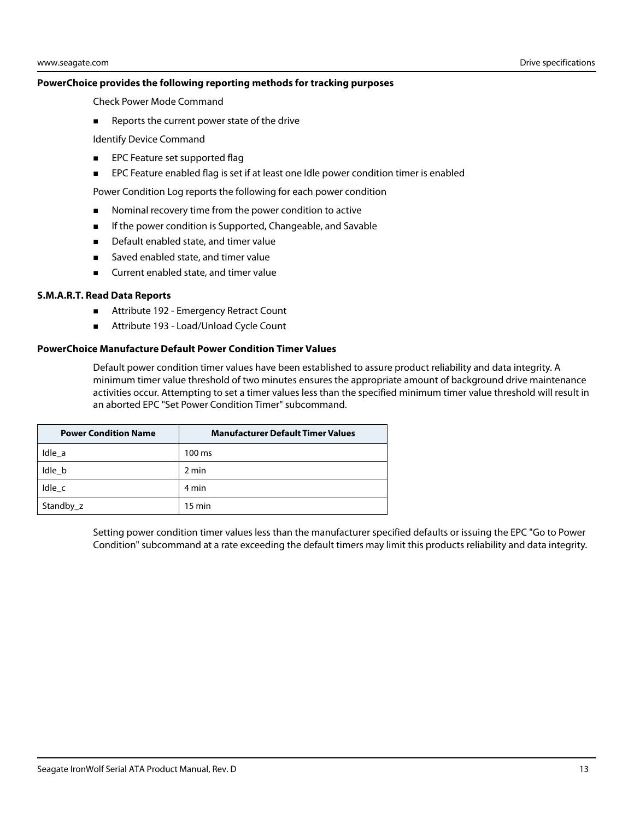#### **PowerChoice provides the following reporting methods for tracking purposes**

Check Power Mode Command

Reports the current power state of the drive

Identify Device Command

- **EPC Feature set supported flag**
- **EPC Feature enabled flag is set if at least one Idle power condition timer is enabled**

Power Condition Log reports the following for each power condition

- Nominal recovery time from the power condition to active
- **If the power condition is Supported, Changeable, and Savable**
- Default enabled state, and timer value
- Saved enabled state, and timer value
- **EXECUTE CUTTENT** Current enabled state, and timer value

#### **S.M.A.R.T. Read Data Reports**

- Attribute 192 Emergency Retract Count
- Attribute 193 Load/Unload Cycle Count

#### **PowerChoice Manufacture Default Power Condition Timer Values**

Default power condition timer values have been established to assure product reliability and data integrity. A minimum timer value threshold of two minutes ensures the appropriate amount of background drive maintenance activities occur. Attempting to set a timer values less than the specified minimum timer value threshold will result in an aborted EPC "Set Power Condition Timer" subcommand.

| <b>Power Condition Name</b> | <b>Manufacturer Default Timer Values</b> |
|-----------------------------|------------------------------------------|
| Idle a                      | 100 ms                                   |
| Idle b                      | 2 min                                    |
| Idle c                      | 4 min                                    |
| Standby_z                   | $15 \text{ min}$                         |

Setting power condition timer values less than the manufacturer specified defaults or issuing the EPC "Go to Power Condition" subcommand at a rate exceeding the default timers may limit this products reliability and data integrity.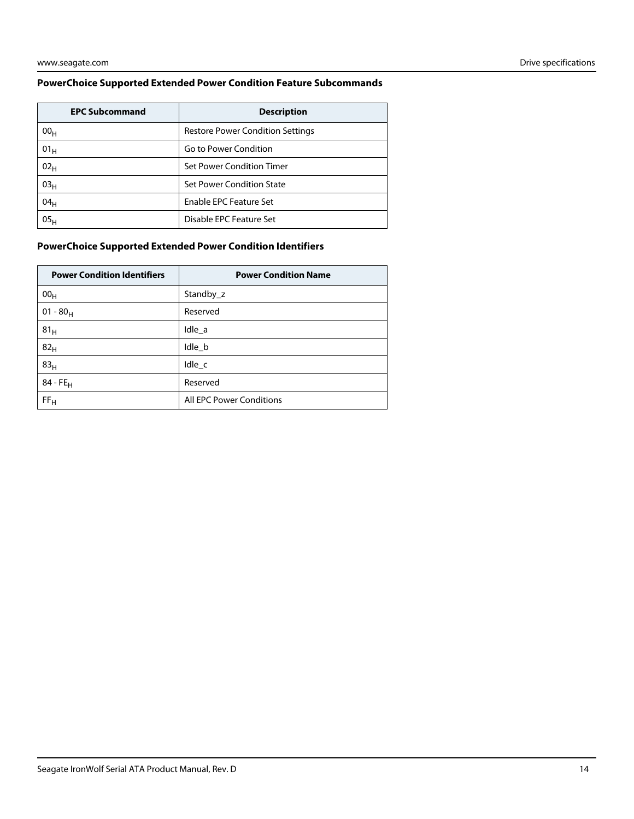#### **PowerChoice Supported Extended Power Condition Feature Subcommands**

| <b>EPC Subcommand</b> | <b>Description</b>                      |
|-----------------------|-----------------------------------------|
| 00 <sub>H</sub>       | <b>Restore Power Condition Settings</b> |
| 01 <sub>H</sub>       | Go to Power Condition                   |
| 02 <sub>H</sub>       | Set Power Condition Timer               |
| 03 <sub>H</sub>       | Set Power Condition State               |
| 04 <sub>H</sub>       | Enable EPC Feature Set                  |
| 05 <sub>H</sub>       | Disable EPC Feature Set                 |

#### **PowerChoice Supported Extended Power Condition Identifiers**

| <b>Power Condition Identifiers</b> | <b>Power Condition Name</b>     |
|------------------------------------|---------------------------------|
| 00 <sub>H</sub>                    | Standby_z                       |
| $01 - 80_H$                        | Reserved                        |
| 81 <sub>H</sub>                    | Idle a                          |
| 82 <sub>H</sub>                    | Idle b                          |
| 83 <sub>H</sub>                    | $Idle_{c}$                      |
| $84 - FE_H$                        | Reserved                        |
| FF <sub>H</sub>                    | <b>All EPC Power Conditions</b> |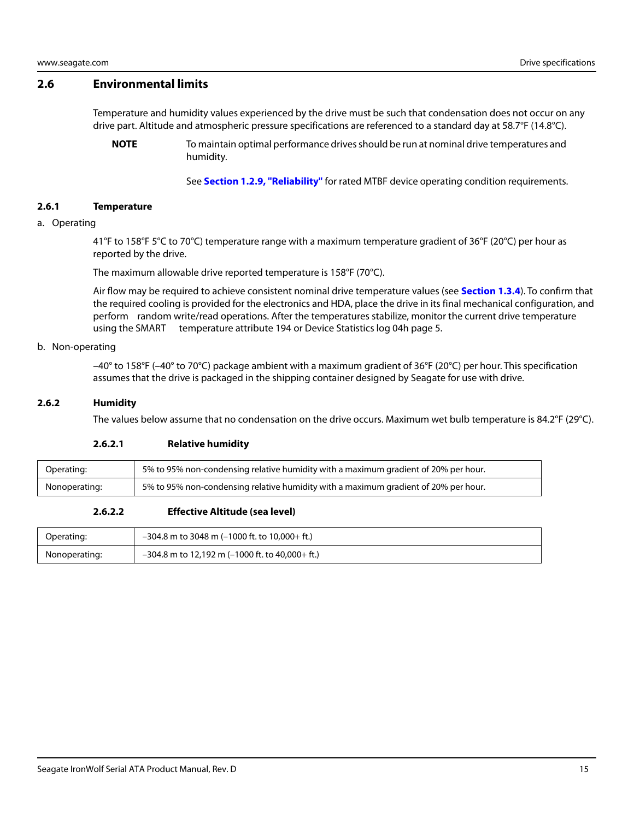#### <span id="page-15-0"></span>**2.6 Environmental limits**

Temperature and humidity values experienced by the drive must be such that condensation does not occur on any drive part. Altitude and atmospheric pressure specifications are referenced to a standard day at 58.7°F (14.8°C).

**NOTE** To maintain optimal performance drives should be run at nominal drive temperatures and humidity.

See **[Section 1.2.9, "Reliability"](#page-18-0)** for rated MTBF device operating condition requirements.

#### <span id="page-15-1"></span>**2.6.1 Temperature**

#### a. Operating

41°F to 158°F 5°C to 70°C) temperature range with a maximum temperature gradient of 36°F (20°C) per hour as reported by the drive.

The maximum allowable drive reported temperature is 158°F (70°C).

Air flow may be required to achieve consistent nominal drive temperature values (see **[Section 1.3.4](#page-22-0)**). To confirm that the required cooling is provided for the electronics and HDA, place the drive in its final mechanical configuration, and perform random write/read operations. After the temperatures stabilize, monitor the current drive temperature using the SMART temperature attribute 194 or Device Statistics log 04h page 5.

#### b. Non-operating

 $-40^{\circ}$  to 158°F ( $-40^{\circ}$  to 70°C) package ambient with a maximum gradient of 36°F (20°C) per hour. This specification assumes that the drive is packaged in the shipping container designed by Seagate for use with drive.

#### <span id="page-15-2"></span>**2.6.2 Humidity**

The values below assume that no condensation on the drive occurs. Maximum wet bulb temperature is 84.2°F (29°C).

#### **2.6.2.1 Relative humidity**

| Operating:    | 5% to 95% non-condensing relative humidity with a maximum gradient of 20% per hour. |
|---------------|-------------------------------------------------------------------------------------|
| Nonoperating: | 5% to 95% non-condensing relative humidity with a maximum gradient of 20% per hour. |

#### **2.6.2.2 Effective Altitude (sea level)**

| Operating:    | $-304.8$ m to 3048 m (-1000 ft. to 10,000+ ft.)   |
|---------------|---------------------------------------------------|
| Nonoperating: | $-304.8$ m to 12,192 m (-1000 ft. to 40,000+ ft.) |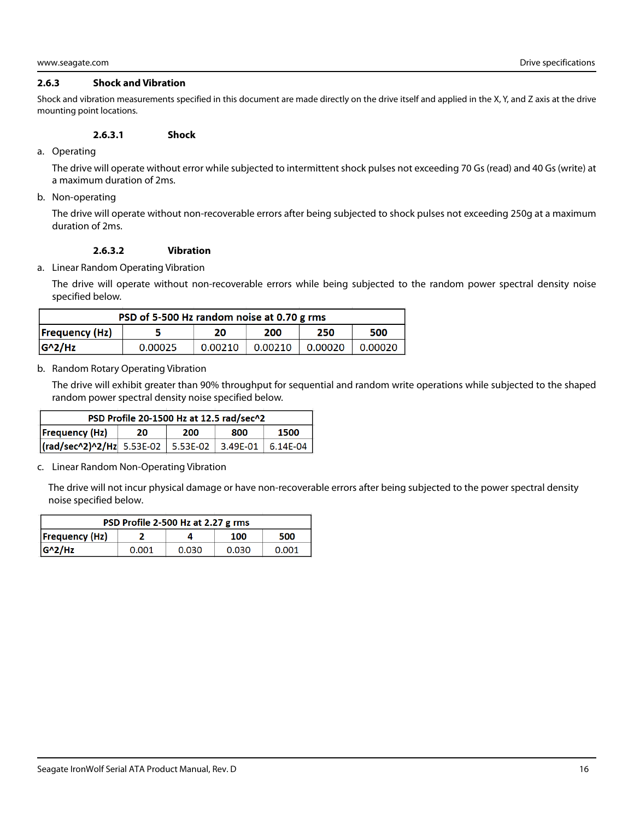#### <span id="page-16-0"></span>**2.6.3 Shock and Vibration**

Shock and vibration measurements specified in this document are made directly on the drive itself and applied in the X, Y, and Z axis at the drive mounting point locations.

#### **2.6.3.1 Shock**

a. Operating

The drive will operate without error while subjected to intermittent shock pulses not exceeding 70 Gs (read) and 40 Gs (write) at a maximum duration of 2ms.

b. Non-operating

The drive will operate without non-recoverable errors after being subjected to shock pulses not exceeding 250g at a maximum duration of 2ms.

#### **2.6.3.2 Vibration**

a. Linear Random Operating Vibration

The drive will operate without non-recoverable errors while being subjected to the random power spectral density noise specified below.

| PSD of 5-500 Hz random noise at 0.70 g rms |         |         |         |         |         |
|--------------------------------------------|---------|---------|---------|---------|---------|
| Frequency(Hz)                              |         | 20      | 200     | 250     | 500     |
| $G^2/Hz$                                   | 0.00025 | 0.00210 | 0.00210 | 0.00020 | 0.00020 |

#### b. Random Rotary Operating Vibration

The drive will exhibit greater than 90% throughput for sequential and random write operations while subjected to the shaped random power spectral density noise specified below.

| PSD Profile 20-1500 Hz at 12.5 rad/sec^2                     |    |     |     |      |
|--------------------------------------------------------------|----|-----|-----|------|
| Frequency(Hz)                                                | 20 | 200 | 800 | 1500 |
| $\vert$ (rad/sec^2)^2/Hz 5.53E-02 5.53E-02 3.49E-01 6.14E-04 |    |     |     |      |

#### c. Linear Random Non-Operating Vibration

The drive will not incur physical damage or have non-recoverable errors after being subjected to the power spectral density noise specified below.

| PSD Profile 2-500 Hz at 2.27 g rms |       |       |       |       |
|------------------------------------|-------|-------|-------|-------|
| <b>Frequency (Hz)</b>              |       |       | 100   | 500   |
| $ G^2/HZ $                         | 0.001 | 0.030 | 0.030 | 0.001 |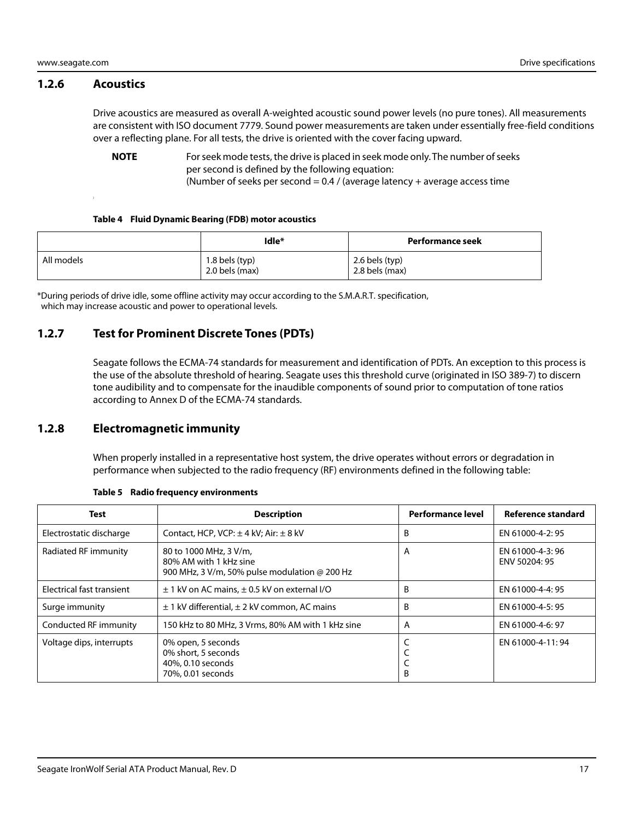#### <span id="page-17-0"></span>**1.2.6 Acoustics**

Drive acoustics are measured as overall A-weighted acoustic sound power levels (no pure tones). All measurements are consistent with ISO document 7779. Sound power measurements are taken under essentially free-field conditions over a reflecting plane. For all tests, the drive is oriented with the cover facing upward.

**NOTE** For seek mode tests, the drive is placed in seek mode only. The number of seeks per second is defined by the following equation: (Number of seeks per second =  $0.4$  / (average latency + average access time

#### **Table 4 Fluid Dynamic Bearing (FDB) motor acoustics**

|            | Idle*                            | Performance seek                 |
|------------|----------------------------------|----------------------------------|
| All models | 1.8 bels (typ)<br>2.0 bels (max) | 2.6 bels (typ)<br>2.8 bels (max) |

\*During periods of drive idle, some offline activity may occur according to the S.M.A.R.T. specification, which may increase acoustic and power to operational levels.

#### <span id="page-17-1"></span>**1.2.7 Test for Prominent Discrete Tones (PDTs)**

Seagate follows the ECMA-74 standards for measurement and identification of PDTs. An exception to this process is the use of the absolute threshold of hearing. Seagate uses this threshold curve (originated in ISO 389-7) to discern tone audibility and to compensate for the inaudible components of sound prior to computation of tone ratios according to Annex D of the ECMA-74 standards.

#### <span id="page-17-2"></span>**1.2.8 Electromagnetic immunity**

When properly installed in a representative host system, the drive operates without errors or degradation in performance when subjected to the radio frequency (RF) environments defined in the following table:

| Test                      | <b>Description</b>                                                                                | <b>Performance level</b> | Reference standard                |
|---------------------------|---------------------------------------------------------------------------------------------------|--------------------------|-----------------------------------|
| Electrostatic discharge   | Contact, HCP, VCP: $\pm$ 4 kV; Air: $\pm$ 8 kV                                                    | B                        | EN 61000-4-2: 95                  |
| Radiated RF immunity      | 80 to 1000 MHz, 3 V/m,<br>80% AM with 1 kHz sine<br>900 MHz, 3 V/m, 50% pulse modulation @ 200 Hz | A                        | EN 61000-4-3: 96<br>ENV 50204: 95 |
| Electrical fast transient | $\pm$ 1 kV on AC mains, $\pm$ 0.5 kV on external I/O                                              | B                        | EN 61000-4-4: 95                  |
| Surge immunity            | $\pm$ 1 kV differential, $\pm$ 2 kV common, AC mains                                              | B                        | EN 61000-4-5: 95                  |
| Conducted RF immunity     | 150 kHz to 80 MHz, 3 Vrms, 80% AM with 1 kHz sine                                                 | A                        | EN 61000-4-6: 97                  |
| Voltage dips, interrupts  | 0% open, 5 seconds<br>0% short, 5 seconds<br>40%, 0.10 seconds<br>70%, 0.01 seconds               | B                        | EN 61000-4-11:94                  |

#### **Table 5 Radio frequency environments**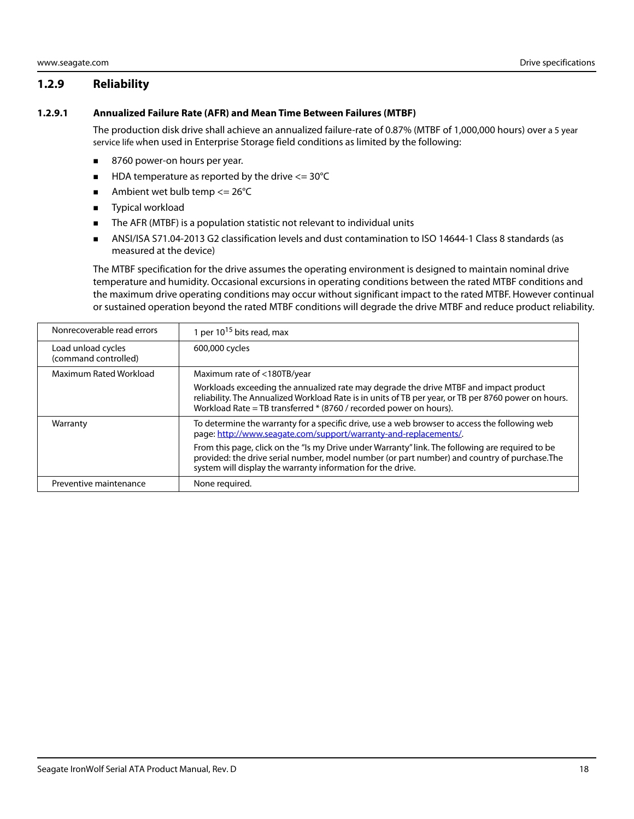### <span id="page-18-0"></span>**1.2.9 Reliability**

#### <span id="page-18-1"></span>**1.2.9.1 Annualized Failure Rate (AFR) and Mean Time Between Failures (MTBF)**

The production disk drive shall achieve an annualized failure-rate of 0.87% (MTBF of 1,000,000 hours) over a 5 year service life when used in Enterprise Storage field conditions as limited by the following:

- 8760 power-on hours per year.
- $\blacksquare$  HDA temperature as reported by the drive  $\lt$  = 30°C
- Ambient wet bulb temp  $\leq$  26°C
- **Typical workload**
- The AFR (MTBF) is a population statistic not relevant to individual units
- ANSI/ISA S71.04-2013 G2 classification levels and dust contamination to ISO 14644-1 Class 8 standards (as measured at the device)

The MTBF specification for the drive assumes the operating environment is designed to maintain nominal drive temperature and humidity. Occasional excursions in operating conditions between the rated MTBF conditions and the maximum drive operating conditions may occur without significant impact to the rated MTBF. However continual or sustained operation beyond the rated MTBF conditions will degrade the drive MTBF and reduce product reliability.

| Nonrecoverable read errors                 | 1 per 10 <sup>15</sup> bits read, max                                                                                                                                                                                                                               |
|--------------------------------------------|---------------------------------------------------------------------------------------------------------------------------------------------------------------------------------------------------------------------------------------------------------------------|
| Load unload cycles<br>(command controlled) | 600,000 cycles                                                                                                                                                                                                                                                      |
| Maximum Rated Workload                     | Maximum rate of <180TB/year                                                                                                                                                                                                                                         |
|                                            | Workloads exceeding the annualized rate may degrade the drive MTBF and impact product<br>reliability. The Annualized Workload Rate is in units of TB per year, or TB per 8760 power on hours.<br>Workload Rate = TB transferred * (8760 / recorded power on hours). |
| Warranty                                   | To determine the warranty for a specific drive, use a web browser to access the following web<br>page: http://www.seagate.com/support/warranty-and-replacements/.                                                                                                   |
|                                            | From this page, click on the "Is my Drive under Warranty" link. The following are required to be<br>provided: the drive serial number, model number (or part number) and country of purchase. The<br>system will display the warranty information for the drive.    |
| Preventive maintenance                     | None required.                                                                                                                                                                                                                                                      |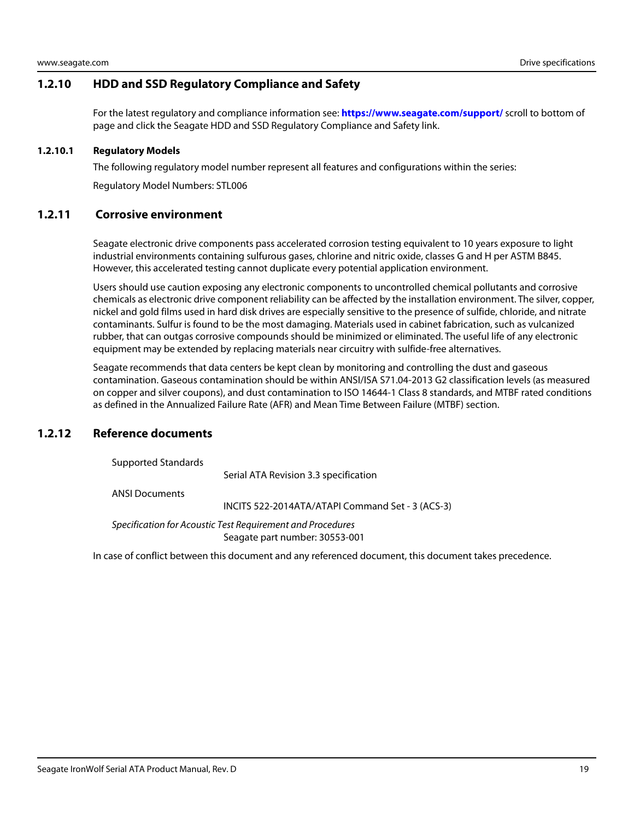#### <span id="page-19-0"></span>**1.2.10 HDD and SSD Regulatory Compliance and Safety**

For the latest regulatory and compliance information see: **https://www.seagate.com/support/** scroll to bottom of page and click the Seagate HDD and SSD Regulatory Compliance and Safety link.

#### <span id="page-19-1"></span>**1.2.10.1 Regulatory Models**

The following regulatory model number represent all features and configurations within the series:

Regulatory Model Numbers: STL006

#### <span id="page-19-2"></span>**1.2.11 Corrosive environment**

Seagate electronic drive components pass accelerated corrosion testing equivalent to 10 years exposure to light industrial environments containing sulfurous gases, chlorine and nitric oxide, classes G and H per ASTM B845. However, this accelerated testing cannot duplicate every potential application environment.

Users should use caution exposing any electronic components to uncontrolled chemical pollutants and corrosive chemicals as electronic drive component reliability can be affected by the installation environment. The silver, copper, nickel and gold films used in hard disk drives are especially sensitive to the presence of sulfide, chloride, and nitrate contaminants. Sulfur is found to be the most damaging. Materials used in cabinet fabrication, such as vulcanized rubber, that can outgas corrosive compounds should be minimized or eliminated. The useful life of any electronic equipment may be extended by replacing materials near circuitry with sulfide-free alternatives.

Seagate recommends that data centers be kept clean by monitoring and controlling the dust and gaseous contamination. Gaseous contamination should be within ANSI/ISA S71.04-2013 G2 classification levels (as measured on copper and silver coupons), and dust contamination to ISO 14644-1 Class 8 standards, and MTBF rated conditions as defined in the Annualized Failure Rate (AFR) and Mean Time Between Failure (MTBF) section.

#### <span id="page-19-3"></span>**1.2.12 Reference documents**

Supported Standards

Serial ATA Revision 3.3 specification

ANSI Documents

INCITS 522-2014ATA/ATAPI Command Set - 3 (ACS-3)

Specification for Acoustic Test Requirement and Procedures Seagate part number: 30553-001

In case of conflict between this document and any referenced document, this document takes precedence.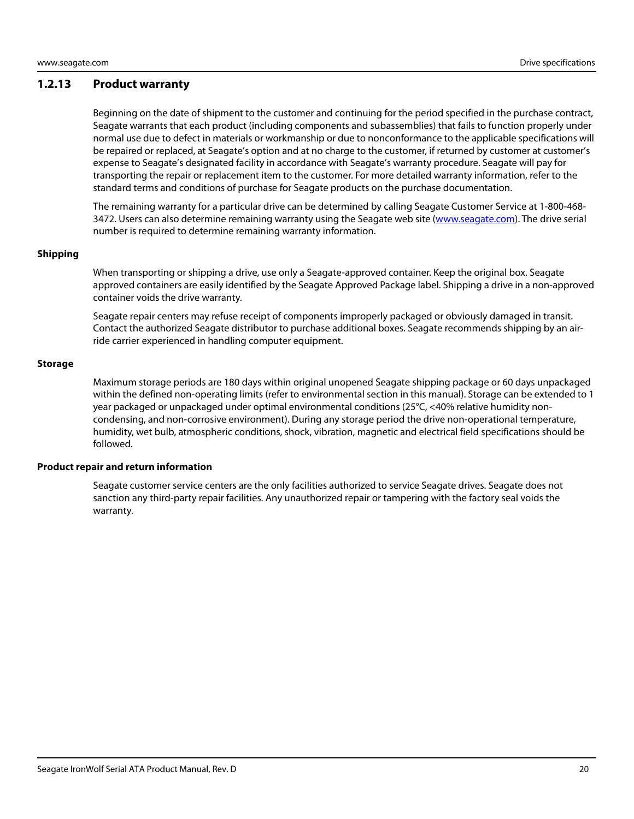#### <span id="page-20-0"></span>**1.2.13 Product warranty**

Beginning on the date of shipment to the customer and continuing for the period specified in the purchase contract, Seagate warrants that each product (including components and subassemblies) that fails to function properly under normal use due to defect in materials or workmanship or due to nonconformance to the applicable specifications will be repaired or replaced, at Seagate's option and at no charge to the customer, if returned by customer at customer's expense to Seagate's designated facility in accordance with Seagate's warranty procedure. Seagate will pay for transporting the repair or replacement item to the customer. For more detailed warranty information, refer to the standard terms and conditions of purchase for Seagate products on the purchase documentation.

[The remaining warranty for a particular drive can be determined by calling Seagate Customer Service at 1-800-468-](http://www.seagate.com) [3472. Users can also determine remaining warranty using the Seagate web site \(w](http://www.seagate.com)ww.seagate.com). The drive serial number is required to determine remaining warranty information.

#### **Shipping**

When transporting or shipping a drive, use only a Seagate-approved container. Keep the original box. Seagate approved containers are easily identified by the Seagate Approved Package label. Shipping a drive in a non-approved container voids the drive warranty.

Seagate repair centers may refuse receipt of components improperly packaged or obviously damaged in transit. Contact the authorized Seagate distributor to purchase additional boxes. Seagate recommends shipping by an airride carrier experienced in handling computer equipment.

#### **Storage**

Maximum storage periods are 180 days within original unopened Seagate shipping package or 60 days unpackaged within the defined non-operating limits (refer to environmental section in this manual). Storage can be extended to 1 year packaged or unpackaged under optimal environmental conditions (25°C, <40% relative humidity noncondensing, and non-corrosive environment). During any storage period the drive non-operational temperature, humidity, wet bulb, atmospheric conditions, shock, vibration, magnetic and electrical field specifications should be followed.

#### **Product repair and return information**

Seagate customer service centers are the only facilities authorized to service Seagate drives. Seagate does not sanction any third-party repair facilities. Any unauthorized repair or tampering with the factory seal voids the warranty.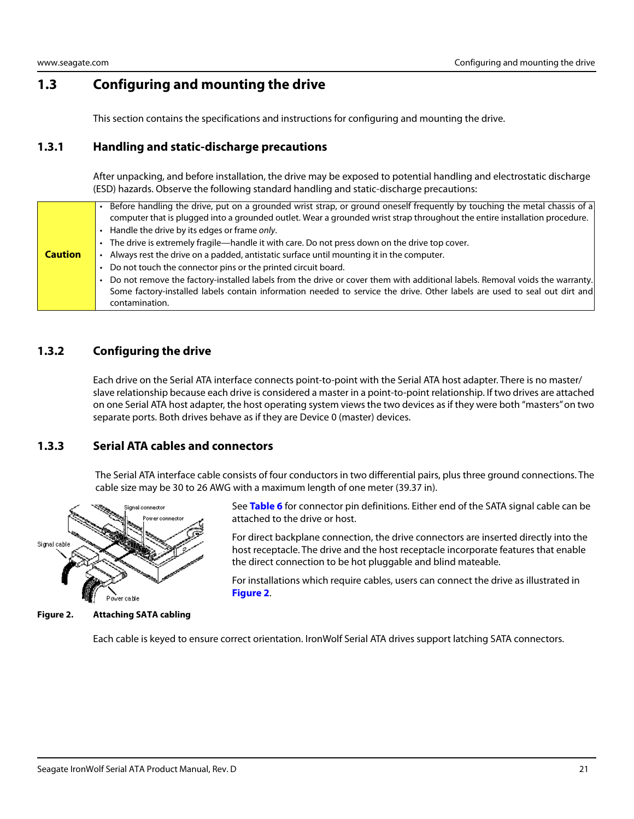# <span id="page-21-0"></span>**1.3 Configuring and mounting the drive**

This section contains the specifications and instructions for configuring and mounting the drive.

#### <span id="page-21-1"></span>**1.3.1 Handling and static-discharge precautions**

After unpacking, and before installation, the drive may be exposed to potential handling and electrostatic discharge (ESD) hazards. Observe the following standard handling and static-discharge precautions:

|                | Before handling the drive, put on a grounded wrist strap, or ground oneself frequently by touching the metal chassis of a<br>computer that is plugged into a grounded outlet. Wear a grounded wrist strap throughout the entire installation procedure.  |
|----------------|----------------------------------------------------------------------------------------------------------------------------------------------------------------------------------------------------------------------------------------------------------|
|                | Handle the drive by its edges or frame only.                                                                                                                                                                                                             |
|                | The drive is extremely fragile—handle it with care. Do not press down on the drive top cover.                                                                                                                                                            |
| <b>Caution</b> | Always rest the drive on a padded, antistatic surface until mounting it in the computer.                                                                                                                                                                 |
|                | Do not touch the connector pins or the printed circuit board.                                                                                                                                                                                            |
|                | Do not remove the factory-installed labels from the drive or cover them with additional labels. Removal voids the warranty.<br>Some factory-installed labels contain information needed to service the drive. Other labels are used to seal out dirt and |
|                | contamination.                                                                                                                                                                                                                                           |

#### <span id="page-21-2"></span>**1.3.2 Configuring the drive**

Each drive on the Serial ATA interface connects point-to-point with the Serial ATA host adapter. There is no master/ slave relationship because each drive is considered a master in a point-to-point relationship. If two drives are attached on one Serial ATA host adapter, the host operating system views the two devices as if they were both "masters" on two separate ports. Both drives behave as if they are Device 0 (master) devices.

#### <span id="page-21-3"></span>**1.3.3 Serial ATA cables and connectors**

The Serial ATA interface cable consists of four conductors in two differential pairs, plus three ground connections. The cable size may be 30 to 26 AWG with a maximum length of one meter (39.37 in).



the direct connection to be hot pluggable and blind mateable.

attached to the drive or host.

For installations which require cables, users can connect the drive as illustrated in **[Figure 2](#page-21-4)**.

See **Table 6** for connector pin definitions. Either end of the SATA signal cable can be

For direct backplane connection, the drive connectors are inserted directly into the host receptacle. The drive and the host receptacle incorporate features that enable

<span id="page-21-4"></span>**Figure 2. Attaching SATA cabling**

Each cable is keyed to ensure correct orientation. IronWolf Serial ATA drives support latching SATA connectors.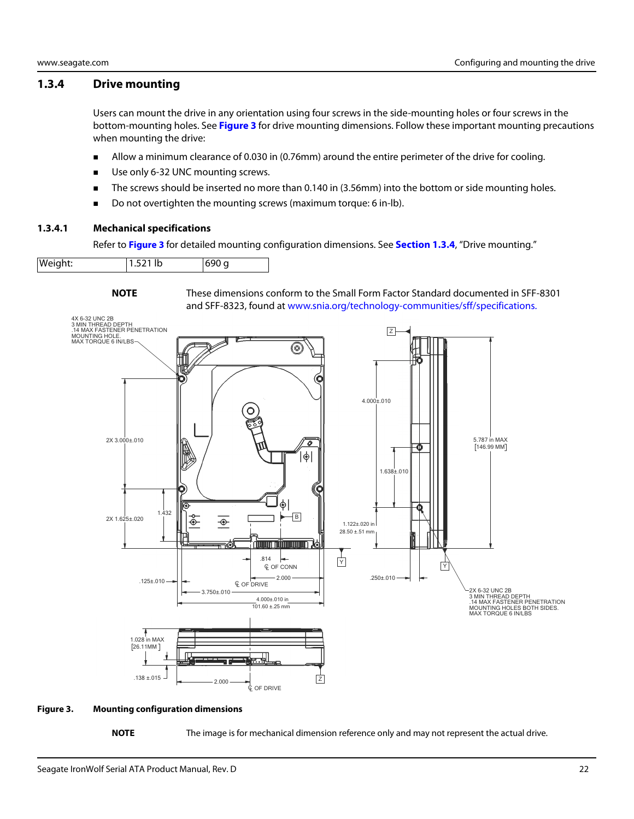#### <span id="page-22-0"></span>**1.3.4 Drive mounting**

Users can mount the drive in any orientation using four screws in the side-mounting holes or four screws in the bottom-mounting holes. See **[Figure 3](#page-22-2)** for drive mounting dimensions. Follow these important mounting precautions when mounting the drive:

- Allow a minimum clearance of 0.030 in (0.76mm) around the entire perimeter of the drive for cooling.
- Use only 6-32 UNC mounting screws.
- The screws should be inserted no more than 0.140 in (3.56mm) into the bottom or side mounting holes.
- Do not overtighten the mounting screws (maximum torque: 6 in-lb).

#### <span id="page-22-1"></span>**1.3.4.1 Mechanical specifications**

Refer to **[Figure 3](#page-22-2)** for detailed mounting configuration dimensions. See **[Section 1.3.4](#page-22-0)**, "Drive mounting."

| $1.521$ lb<br>Weight:<br>690 g |
|--------------------------------|
|--------------------------------|



**NOTE** [These dimensions conform to the Small Form Factor Standard documented in SFF-8301](http://found at www.sffcommittee.org/)  [and SFF-8323, found at w](http://found at www.sffcommittee.org/)ww.snia.org/technology-communities/sff/specifications.



#### <span id="page-22-2"></span>**Figure 3. Mounting configuration dimensions**

**NOTE** The image is for mechanical dimension reference only and may not represent the actual drive.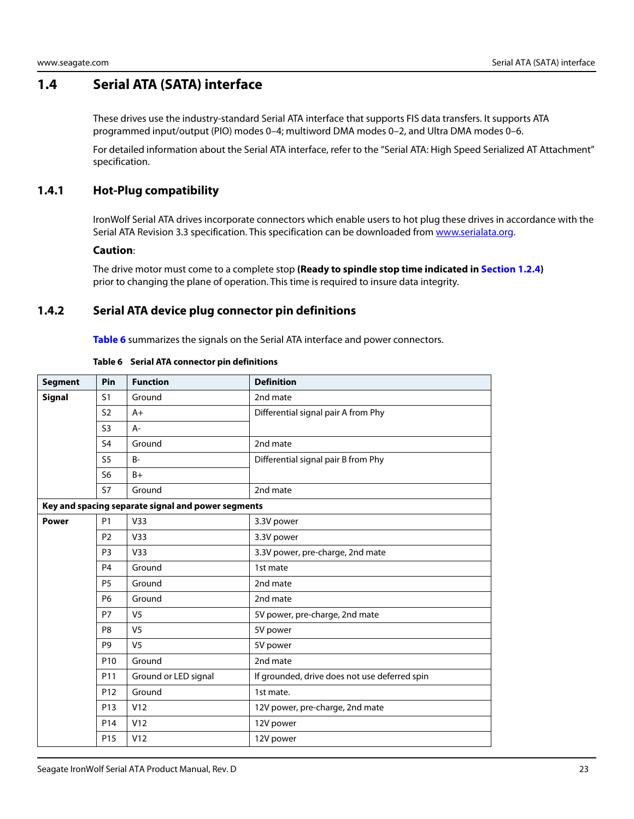# <span id="page-23-0"></span>**1.4 Serial ATA (SATA) interface**

These drives use the industry-standard Serial ATA interface that supports FIS data transfers. It supports ATA programmed input/output (PIO) modes 0–4; multiword DMA modes 0–2, and Ultra DMA modes 0–6.

For detailed information about the Serial ATA interface, refer to the "Serial ATA: High Speed Serialized AT Attachment" specification.

#### <span id="page-23-1"></span>**1.4.1 Hot-Plug compatibility**

IronWolf Serial ATA drives incorporate connectors which enable users to hot plug these drives in accordance with the Serial ATA Revision 3.3 specification. This specification can be downloaded from [www.serialata.or](http://www.serialata.org)g.

#### **Caution**:

The drive motor must come to a complete stop **(Ready to spindle stop time indicated in [Section 1.2.4](#page-9-3))** prior to changing the plane of operation. This time is required to insure data integrity.

#### <span id="page-23-2"></span>**1.4.2 Serial ATA device plug connector pin definitions**

**Table 6** summarizes the signals on the Serial ATA interface and power connectors.

| <b>Segment</b> | Pin             | <b>Function</b>                                    | <b>Definition</b>                             |
|----------------|-----------------|----------------------------------------------------|-----------------------------------------------|
| <b>Signal</b>  | S <sub>1</sub>  | Ground                                             | 2nd mate                                      |
|                | S <sub>2</sub>  | $A+$                                               | Differential signal pair A from Phy           |
|                | S <sub>3</sub>  | A-                                                 |                                               |
|                | S <sub>4</sub>  | Ground                                             | 2nd mate                                      |
|                | S <sub>5</sub>  | $B -$                                              | Differential signal pair B from Phy           |
|                | S <sub>6</sub>  | $B+$                                               |                                               |
|                | S7              | Ground                                             | 2nd mate                                      |
|                |                 | Key and spacing separate signal and power segments |                                               |
| <b>Power</b>   | <b>P1</b>       | V33                                                | 3.3V power                                    |
|                | P <sub>2</sub>  | V <sub>33</sub>                                    | 3.3V power                                    |
|                | P <sub>3</sub>  | V33                                                | 3.3V power, pre-charge, 2nd mate              |
|                | P <sub>4</sub>  | Ground                                             | 1st mate                                      |
|                | P <sub>5</sub>  | Ground                                             | 2nd mate                                      |
|                | <b>P6</b>       | Ground                                             | 2nd mate                                      |
|                | <b>P7</b>       | V <sub>5</sub>                                     | 5V power, pre-charge, 2nd mate                |
|                | P <sub>8</sub>  | V <sub>5</sub>                                     | 5V power                                      |
|                | P <sub>9</sub>  | V <sub>5</sub>                                     | 5V power                                      |
|                | P <sub>10</sub> | Ground                                             | 2nd mate                                      |
|                | P11             | Ground or LED signal                               | If grounded, drive does not use deferred spin |
|                | P <sub>12</sub> | Ground                                             | 1st mate.                                     |
|                | P <sub>13</sub> | V12                                                | 12V power, pre-charge, 2nd mate               |
|                | P <sub>14</sub> | V12                                                | 12V power                                     |
|                | P <sub>15</sub> | V12                                                | 12V power                                     |

#### **Table 6 Serial ATA connector pin definitions**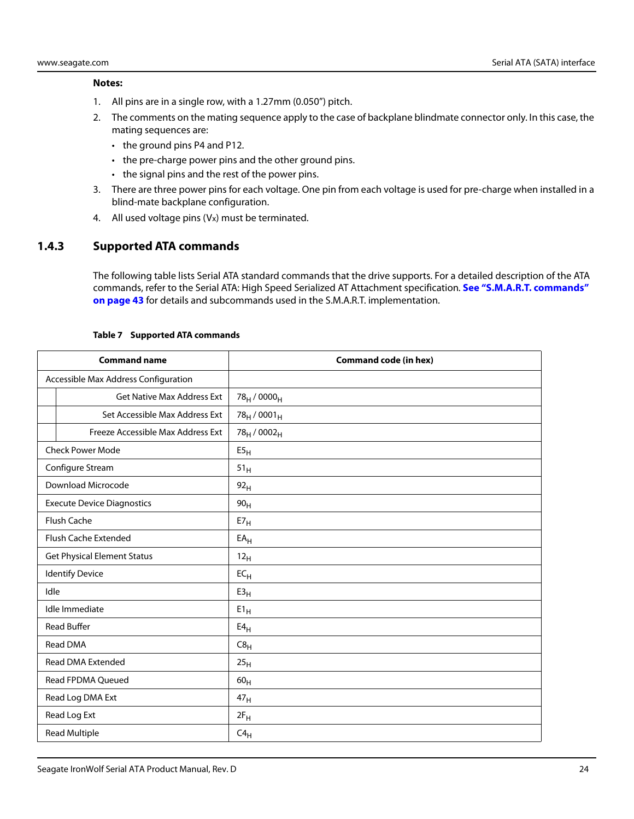#### **Notes:**

- 1. All pins are in a single row, with a 1.27mm (0.050") pitch.
- 2. The comments on the mating sequence apply to the case of backplane blindmate connector only. In this case, the mating sequences are:
	- the ground pins P4 and P12.
	- the pre-charge power pins and the other ground pins.
	- the signal pins and the rest of the power pins.
- 3. There are three power pins for each voltage. One pin from each voltage is used for pre-charge when installed in a blind-mate backplane configuration.
- 4. All used voltage pins (Vx) must be terminated.

#### <span id="page-24-0"></span>**1.4.3 Supported ATA commands**

The following table lists Serial ATA standard commands that the drive supports. For a detailed description of the ATA commands, refer to the Serial ATA: High Speed Serialized AT Attachment specification. **[See "S.M.A.R.T. commands"](#page-43-0)  [on page 43](#page-43-0)** for details and subcommands used in the S.M.A.R.T. implementation.

|                                    | <b>Command name</b>                  | <b>Command code (in hex)</b>        |
|------------------------------------|--------------------------------------|-------------------------------------|
|                                    | Accessible Max Address Configuration |                                     |
|                                    | <b>Get Native Max Address Ext</b>    | 78 <sub>H</sub> / 0000 <sub>H</sub> |
|                                    | Set Accessible Max Address Ext       | $78_H / 0001_H$                     |
|                                    | Freeze Accessible Max Address Ext    | 78 <sub>H</sub> / 0002 <sub>H</sub> |
|                                    | <b>Check Power Mode</b>              | E5 <sub>H</sub>                     |
|                                    | Configure Stream                     | 51 <sub>H</sub>                     |
|                                    | Download Microcode                   | 92 <sub>H</sub>                     |
|                                    | <b>Execute Device Diagnostics</b>    | 90 <sub>H</sub>                     |
|                                    | <b>Flush Cache</b>                   | E7 <sub>H</sub>                     |
| Flush Cache Extended               |                                      | $EA_H$                              |
| <b>Get Physical Element Status</b> |                                      | 12 <sub>H</sub>                     |
| <b>Identify Device</b>             |                                      | $EC_{H}$                            |
| Idle                               |                                      | E3 <sub>H</sub>                     |
| Idle Immediate                     |                                      | $E1_H$                              |
|                                    | <b>Read Buffer</b>                   | E4 <sub>H</sub>                     |
|                                    | Read DMA                             | C8 <sub>H</sub>                     |
|                                    | <b>Read DMA Extended</b>             | 25 <sub>H</sub>                     |
|                                    | Read FPDMA Queued                    | 60 <sub>H</sub>                     |
|                                    | Read Log DMA Ext                     | 47 <sub>H</sub>                     |
|                                    | Read Log Ext                         | $2F_H$                              |
|                                    | <b>Read Multiple</b>                 | $C4_H$                              |

#### **Table 7 Supported ATA commands**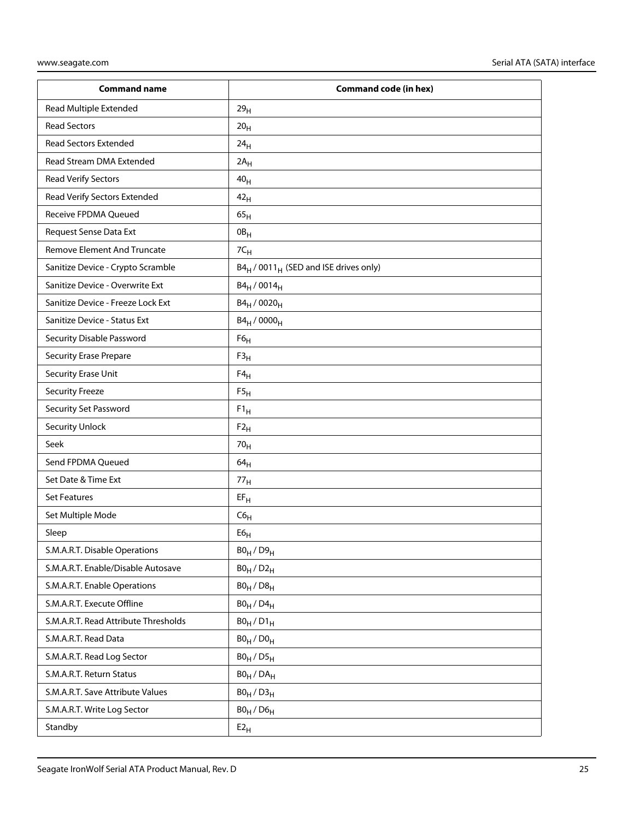| <b>Command name</b>                  | <b>Command code (in hex)</b>              |
|--------------------------------------|-------------------------------------------|
| Read Multiple Extended               | 29 <sub>H</sub>                           |
| <b>Read Sectors</b>                  | 20 <sub>H</sub>                           |
| <b>Read Sectors Extended</b>         | 24 <sub>H</sub>                           |
| Read Stream DMA Extended             | $2A_H$                                    |
| Read Verify Sectors                  | 40 <sub>H</sub>                           |
| Read Verify Sectors Extended         | 42 <sub>H</sub>                           |
| Receive FPDMA Queued                 | 65 <sub>H</sub>                           |
| Request Sense Data Ext               | $0B_H$                                    |
| Remove Element And Truncate          | 7C <sub>H</sub>                           |
| Sanitize Device - Crypto Scramble    | $B4_H / 0011_H$ (SED and ISE drives only) |
| Sanitize Device - Overwrite Ext      | $B4_H / 0014_H$                           |
| Sanitize Device - Freeze Lock Ext    | $B4_H / 0020_H$                           |
| Sanitize Device - Status Ext         | $B4_H / 0000_H$                           |
| <b>Security Disable Password</b>     | F6 <sub>H</sub>                           |
| <b>Security Erase Prepare</b>        | F3 <sub>H</sub>                           |
| Security Erase Unit                  | $F4_H$                                    |
| <b>Security Freeze</b>               | F5 <sub>H</sub>                           |
| Security Set Password                | $F1_H$                                    |
| <b>Security Unlock</b>               | $F2_H$                                    |
| Seek                                 | 70 <sub>H</sub>                           |
| Send FPDMA Queued                    | 64 <sub>H</sub>                           |
| Set Date & Time Ext                  | 77 <sub>H</sub>                           |
| <b>Set Features</b>                  | $EF_{H}$                                  |
| Set Multiple Mode                    | C6 <sub>H</sub>                           |
| Sleep                                | ${\sf E6}_{\sf H}$                        |
| S.M.A.R.T. Disable Operations        | $B0_H / D9_H$                             |
| S.M.A.R.T. Enable/Disable Autosave   | $B0_H$ / $D2_H$                           |
| S.M.A.R.T. Enable Operations         | $B0_H / D8_H$                             |
| S.M.A.R.T. Execute Offline           | $B0_H$ / $D4_H$                           |
| S.M.A.R.T. Read Attribute Thresholds | $B0_H / D1_H$                             |
| S.M.A.R.T. Read Data                 | $B0_H / D0_H$                             |
| S.M.A.R.T. Read Log Sector           | $B0_H / D5_H$                             |
| S.M.A.R.T. Return Status             | $B0_H / DA_H$                             |
| S.M.A.R.T. Save Attribute Values     | $B0_H / D3_H$                             |
| S.M.A.R.T. Write Log Sector          | $B0_H / D6_H$                             |
| Standby                              | $E2_H$                                    |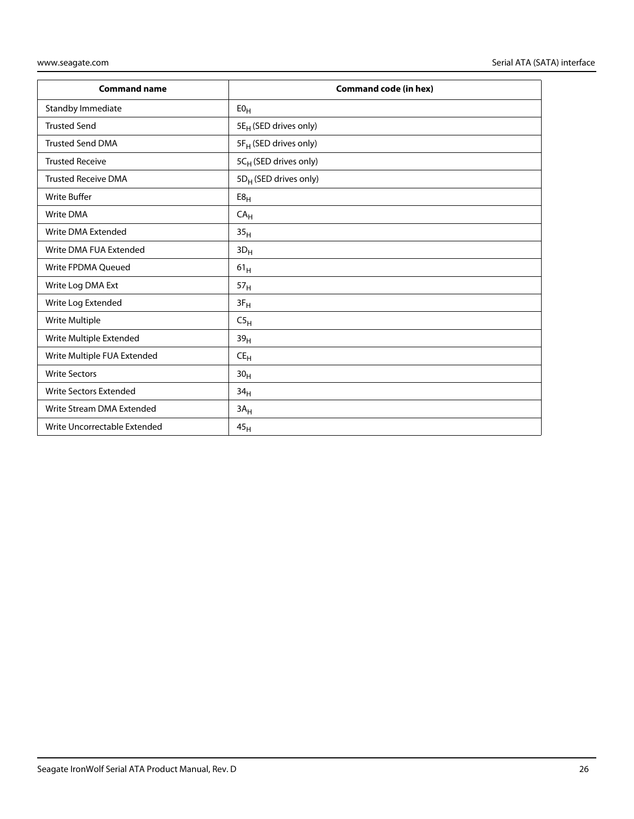| <b>Command name</b>           | <b>Command code (in hex)</b>      |
|-------------------------------|-----------------------------------|
| Standby Immediate             | E0 <sub>H</sub>                   |
| <b>Trusted Send</b>           | 5E <sub>H</sub> (SED drives only) |
| <b>Trusted Send DMA</b>       | 5F <sub>H</sub> (SED drives only) |
| <b>Trusted Receive</b>        | 5C <sub>H</sub> (SED drives only) |
| <b>Trusted Receive DMA</b>    | 5D <sub>H</sub> (SED drives only) |
| <b>Write Buffer</b>           | E8 <sub>H</sub>                   |
| <b>Write DMA</b>              | CA <sub>H</sub>                   |
| Write DMA Extended            | 35 <sub>H</sub>                   |
| Write DMA FUA Extended        | $3D_H$                            |
| Write FPDMA Queued            | $61_H$                            |
| Write Log DMA Ext             | 57 <sub>H</sub>                   |
| Write Log Extended            | $3F_H$                            |
| Write Multiple                | C5 <sub>H</sub>                   |
| Write Multiple Extended       | 39 <sub>H</sub>                   |
| Write Multiple FUA Extended   | $CE_{H}$                          |
| <b>Write Sectors</b>          | 30 <sub>H</sub>                   |
| <b>Write Sectors Extended</b> | 34 <sub>H</sub>                   |
| Write Stream DMA Extended     | $3A_H$                            |
| Write Uncorrectable Extended  | 45 <sub>H</sub>                   |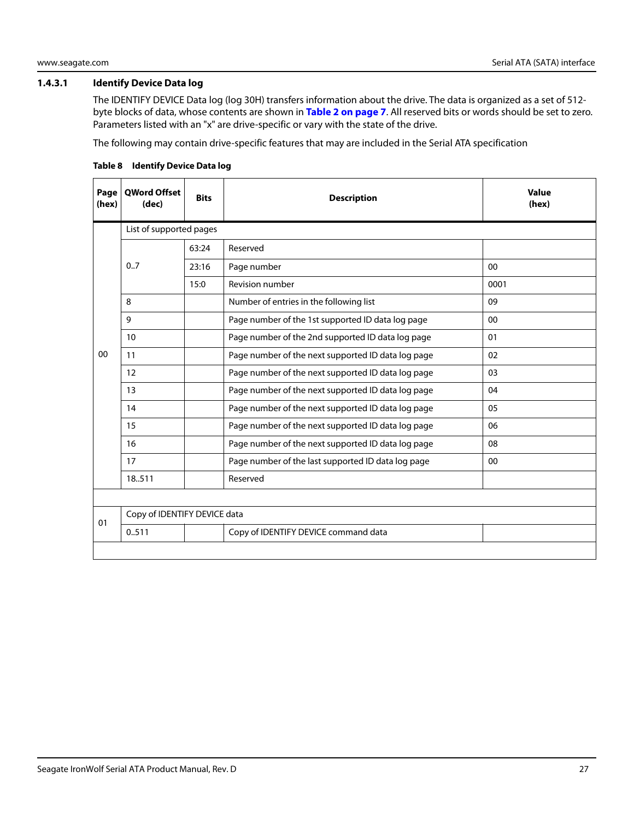#### <span id="page-27-0"></span>**1.4.3.1 Identify Device Data log**

The IDENTIFY DEVICE Data log (log 30H) transfers information about the drive. The data is organized as a set of 512 byte blocks of data, whose contents are shown in **[Table 2 on page 7](#page-7-2)**. All reserved bits or words should be set to zero. Parameters listed with an "x" are drive-specific or vary with the state of the drive.

The following may contain drive-specific features that may are included in the Serial ATA specification

| Page<br>(hex) | <b>OWord Offset</b><br>(dec) | <b>Bits</b> | <b>Description</b>                                 | <b>Value</b><br>(hex) |
|---------------|------------------------------|-------------|----------------------------------------------------|-----------------------|
|               | List of supported pages      |             |                                                    |                       |
|               |                              | 63:24       | Reserved                                           |                       |
|               | 0.7                          | 23:16       | Page number                                        | 00                    |
|               |                              | 15:0        | <b>Revision number</b>                             | 0001                  |
|               | 8                            |             | Number of entries in the following list            | 09                    |
|               | 9                            |             | Page number of the 1st supported ID data log page  | 00                    |
|               | 10                           |             | Page number of the 2nd supported ID data log page  | 01                    |
| $00\,$        | 11                           |             | Page number of the next supported ID data log page | 02                    |
|               | 12                           |             | Page number of the next supported ID data log page | 03                    |
|               | 13                           |             | Page number of the next supported ID data log page | 04                    |
|               | 14                           |             | Page number of the next supported ID data log page | 05                    |
|               | 15                           |             | Page number of the next supported ID data log page | 06                    |
|               | 16                           |             | Page number of the next supported ID data log page | 08                    |
|               | 17                           |             | Page number of the last supported ID data log page | $00\,$                |
|               | 18.511                       |             | Reserved                                           |                       |
|               |                              |             |                                                    |                       |
| 01            | Copy of IDENTIFY DEVICE data |             |                                                    |                       |
|               | 0.511                        |             | Copy of IDENTIFY DEVICE command data               |                       |
|               |                              |             |                                                    |                       |

#### **Table 8 Identify Device Data log**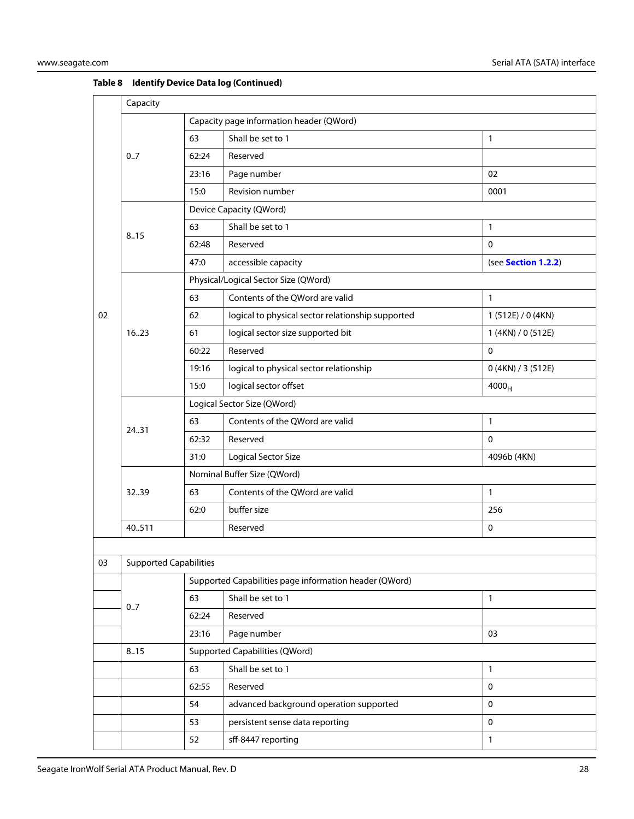|    | Capacity                      |                                          |                                                        |                     |  |  |
|----|-------------------------------|------------------------------------------|--------------------------------------------------------|---------------------|--|--|
|    |                               | Capacity page information header (QWord) |                                                        |                     |  |  |
|    |                               | 63                                       | Shall be set to 1                                      | 1                   |  |  |
|    | 0.7                           | 62:24                                    | Reserved                                               |                     |  |  |
|    |                               | 23:16                                    | Page number                                            | 02                  |  |  |
|    |                               | 15:0                                     | Revision number                                        | 0001                |  |  |
|    |                               | Device Capacity (QWord)                  |                                                        |                     |  |  |
|    | 8.15                          | 63                                       | Shall be set to 1                                      | 1                   |  |  |
|    |                               | 62:48                                    | Reserved                                               | $\mathbf 0$         |  |  |
|    |                               | 47:0                                     | accessible capacity                                    | (see Section 1.2.2) |  |  |
|    |                               |                                          | Physical/Logical Sector Size (QWord)                   |                     |  |  |
|    |                               | 63                                       | Contents of the QWord are valid                        | $\mathbf{1}$        |  |  |
| 02 |                               | 62                                       | logical to physical sector relationship supported      | 1 (512E) / 0 (4KN)  |  |  |
|    | 16.23                         | 61                                       | logical sector size supported bit                      | 1 (4KN) / 0 (512E)  |  |  |
|    |                               | 60:22                                    | Reserved                                               | $\mathbf{0}$        |  |  |
|    |                               | 19:16                                    | logical to physical sector relationship                | 0 (4KN) / 3 (512E)  |  |  |
|    |                               | 15:0                                     | logical sector offset                                  | 4000 <sub>H</sub>   |  |  |
|    | 24.31                         | Logical Sector Size (QWord)              |                                                        |                     |  |  |
|    |                               | 63                                       | Contents of the QWord are valid                        | $\mathbf{1}$        |  |  |
|    |                               | 62:32                                    | Reserved                                               | $\mathbf 0$         |  |  |
|    |                               | 31:0                                     | <b>Logical Sector Size</b>                             | 4096b (4KN)         |  |  |
|    |                               |                                          | Nominal Buffer Size (QWord)                            |                     |  |  |
|    | 3239                          | 63                                       | Contents of the QWord are valid                        | 1                   |  |  |
|    |                               | 62:0                                     | buffer size                                            | 256                 |  |  |
|    | 40.511                        |                                          | Reserved                                               | $\mathbf 0$         |  |  |
|    |                               |                                          |                                                        |                     |  |  |
| 03 | <b>Supported Capabilities</b> |                                          |                                                        |                     |  |  |
|    |                               |                                          | Supported Capabilities page information header (QWord) |                     |  |  |
|    | 0.7                           | 63                                       | Shall be set to 1                                      | $\mathbf{1}$        |  |  |
|    |                               | 62:24                                    | Reserved                                               |                     |  |  |
|    | 23:16                         |                                          | Page number                                            | 03                  |  |  |

63 Shall be set to 1 1 62:55 Reserved 0 54 advanced background operation supported 0 53 persistent sense data reporting density of the persistent sense data reporting 52 sff-8447 reporting 1

#### **Table 8 Identify Device Data log (Continued)**

8..15 Supported Capabilities (QWord)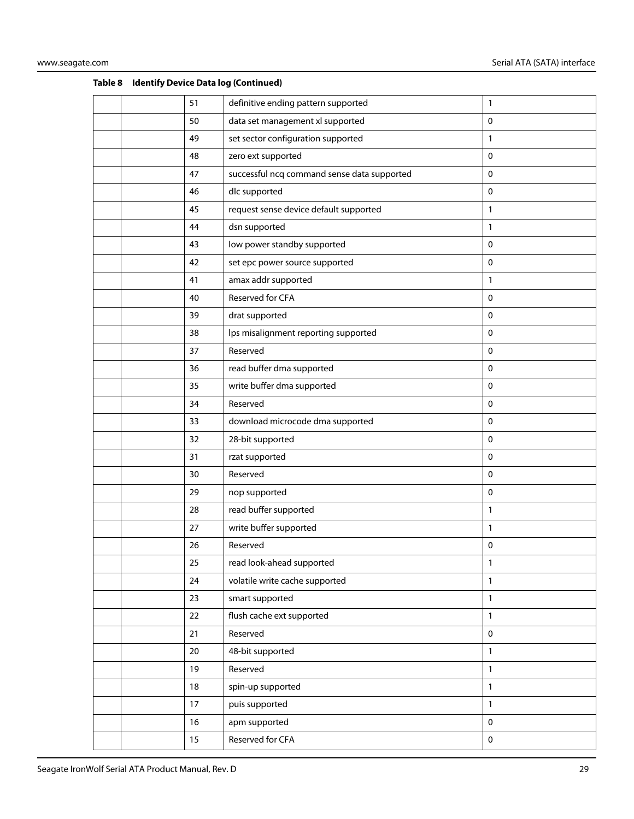|  | 51     | definitive ending pattern supported         | 1                   |
|--|--------|---------------------------------------------|---------------------|
|  | 50     | data set management xl supported            | $\mathbf 0$         |
|  | 49     | set sector configuration supported          | 1                   |
|  | 48     | zero ext supported                          | $\pmb{0}$           |
|  | 47     | successful ncq command sense data supported | $\mathbf 0$         |
|  | 46     | dlc supported                               | $\mathbf 0$         |
|  | 45     | request sense device default supported      | 1                   |
|  | 44     | dsn supported                               | 1                   |
|  | 43     | low power standby supported                 | $\mathbf 0$         |
|  | 42     | set epc power source supported              | $\mathbf 0$         |
|  | 41     | amax addr supported                         | 1                   |
|  | 40     | Reserved for CFA                            | $\mathbf 0$         |
|  | 39     | drat supported                              | $\mathbf 0$         |
|  | 38     | lps misalignment reporting supported        | $\mathbf 0$         |
|  | 37     | Reserved                                    | $\mathbf 0$         |
|  | 36     | read buffer dma supported                   | $\mathbf 0$         |
|  | 35     | write buffer dma supported                  | $\mathbf 0$         |
|  | 34     | Reserved                                    | $\mathbf 0$         |
|  | 33     | download microcode dma supported            | 0                   |
|  | 32     | 28-bit supported                            | $\mathbf 0$         |
|  | 31     | rzat supported                              | 0                   |
|  | 30     | Reserved                                    | $\mathbf 0$         |
|  | 29     | nop supported                               | $\pmb{0}$           |
|  | 28     | read buffer supported                       | 1                   |
|  | 27     | write buffer supported                      | 1                   |
|  | 26     | Reserved                                    | 0                   |
|  | 25     | read look-ahead supported                   | 1                   |
|  | 24     | volatile write cache supported              | $\mathbf{1}$        |
|  | 23     | smart supported                             | $\mathbf{1}$        |
|  | 22     | flush cache ext supported                   | 1                   |
|  | 21     | Reserved                                    | $\mathbf 0$         |
|  | 20     | 48-bit supported                            | $\mathbf{1}$        |
|  | 19     | Reserved                                    | $\mathbf{1}$        |
|  | 18     | spin-up supported                           | $\mathbf{1}$        |
|  | $17\,$ | puis supported                              | $\mathbf{1}$        |
|  | 16     | apm supported                               | $\mathbf 0$         |
|  | 15     | Reserved for CFA                            | $\mathsf{O}\xspace$ |
|  |        |                                             |                     |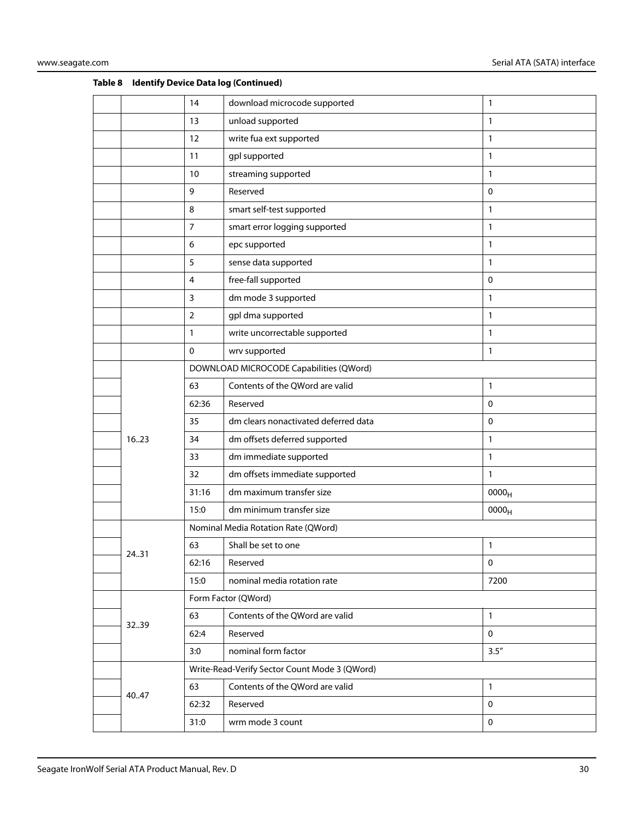|       | 14             | download microcode supported                  | 1                 |
|-------|----------------|-----------------------------------------------|-------------------|
|       | 13             | unload supported                              | 1                 |
|       | 12             | write fua ext supported                       | 1                 |
|       | 11             | gpl supported                                 | 1                 |
|       | 10             | streaming supported                           | 1                 |
|       | 9              | Reserved                                      | $\mathbf 0$       |
|       | 8              | smart self-test supported                     | 1                 |
|       | $\overline{7}$ | smart error logging supported                 | $\mathbf{1}$      |
|       | 6              | epc supported                                 | 1                 |
|       | 5              | sense data supported                          | 1                 |
|       | $\overline{4}$ | free-fall supported                           | $\mathbf 0$       |
|       | 3              | dm mode 3 supported                           | 1                 |
|       | $\overline{2}$ | gpl dma supported                             | $\mathbf{1}$      |
|       | 1              | write uncorrectable supported                 | 1                 |
|       | 0              | wrv supported                                 | 1                 |
|       |                | DOWNLOAD MICROCODE Capabilities (QWord)       |                   |
|       | 63             | Contents of the QWord are valid               | 1                 |
|       | 62:36          | Reserved                                      | $\mathbf 0$       |
|       | 35             | dm clears nonactivated deferred data          | 0                 |
| 1623  | 34             | dm offsets deferred supported                 | 1                 |
|       | 33             | dm immediate supported                        | 1                 |
|       | 32             | dm offsets immediate supported                | 1                 |
|       | 31:16          | dm maximum transfer size                      | 0000 <sub>H</sub> |
|       | 15:0           | dm minimum transfer size                      | 0000 <sub>H</sub> |
|       |                | Nominal Media Rotation Rate (QWord)           |                   |
|       | 63             | Shall be set to one                           | 1                 |
| 2431  | 62:16          | Reserved                                      | $\pmb{0}$         |
|       | 15:0           | nominal media rotation rate                   | 7200              |
|       |                | Form Factor (QWord)                           |                   |
|       | 63             | Contents of the QWord are valid               | 1                 |
| 3239  | 62:4           | Reserved                                      | $\mathbf 0$       |
|       | 3:0            | nominal form factor                           | 3.5''             |
|       |                | Write-Read-Verify Sector Count Mode 3 (QWord) |                   |
|       | 63             | Contents of the QWord are valid               | 1                 |
| 40.47 | 62:32          | Reserved                                      | $\mathbf 0$       |
|       | 31:0           | wrm mode 3 count                              | $\pmb{0}$         |
|       |                |                                               |                   |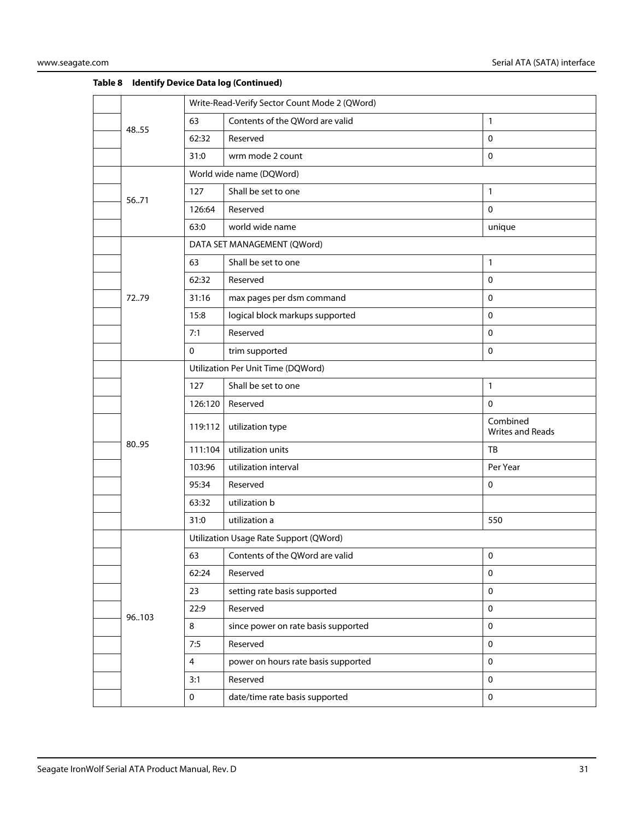|       |                                    | Write-Read-Verify Sector Count Mode 2 (QWord) |                              |  |
|-------|------------------------------------|-----------------------------------------------|------------------------------|--|
| 48.55 | 63                                 | Contents of the QWord are valid               | $\mathbf{1}$                 |  |
|       | 62:32                              | Reserved                                      | $\mathbf 0$                  |  |
|       | 31:0                               | wrm mode 2 count                              | $\mathbf 0$                  |  |
|       |                                    | World wide name (DQWord)                      |                              |  |
| 5671  | 127                                | Shall be set to one                           | $\mathbf{1}$                 |  |
|       | 126:64                             | Reserved                                      | $\mathbf 0$                  |  |
|       | 63:0                               | world wide name                               | unique                       |  |
|       |                                    | DATA SET MANAGEMENT (QWord)                   |                              |  |
|       | 63                                 | Shall be set to one                           | $\mathbf{1}$                 |  |
|       | 62:32                              | Reserved                                      | $\mathbf 0$                  |  |
| 7279  | 31:16                              | max pages per dsm command                     | $\mathbf 0$                  |  |
|       | 15:8                               | logical block markups supported               | $\mathbf 0$                  |  |
|       | 7:1                                | Reserved                                      | $\mathbf 0$                  |  |
|       | $\mathbf 0$                        | trim supported                                | $\mathsf 0$                  |  |
|       | Utilization Per Unit Time (DQWord) |                                               |                              |  |
|       | 127                                | Shall be set to one                           | $\mathbf{1}$                 |  |
|       | 126:120                            | Reserved                                      | $\mathbf 0$                  |  |
|       | 119:112                            | utilization type                              | Combined<br>Writes and Reads |  |
| 80.95 | 111:104                            | utilization units                             | TB                           |  |
|       | 103:96                             | utilization interval                          | Per Year                     |  |
|       | 95:34                              | Reserved                                      | 0                            |  |
|       | 63:32                              | utilization b                                 |                              |  |
|       | 31:0                               | utilization a                                 | 550                          |  |
|       |                                    | Utilization Usage Rate Support (QWord)        |                              |  |
|       | 63                                 | Contents of the QWord are valid               | $\pmb{0}$                    |  |
|       | 62:24                              | Reserved                                      | $\pmb{0}$                    |  |
|       | 23                                 | setting rate basis supported                  | $\mathbf 0$                  |  |
| 96103 | 22:9                               | Reserved                                      | $\pmb{0}$                    |  |
|       | 8                                  | since power on rate basis supported           | $\mathbf 0$                  |  |
|       | 7:5                                | Reserved                                      | $\mathbf 0$                  |  |
|       | 4                                  | power on hours rate basis supported           | $\mathbf 0$                  |  |
|       | 3:1                                | Reserved                                      | $\mathbf 0$                  |  |
|       | $\mathbf{0}$                       | date/time rate basis supported                | $\mathbf 0$                  |  |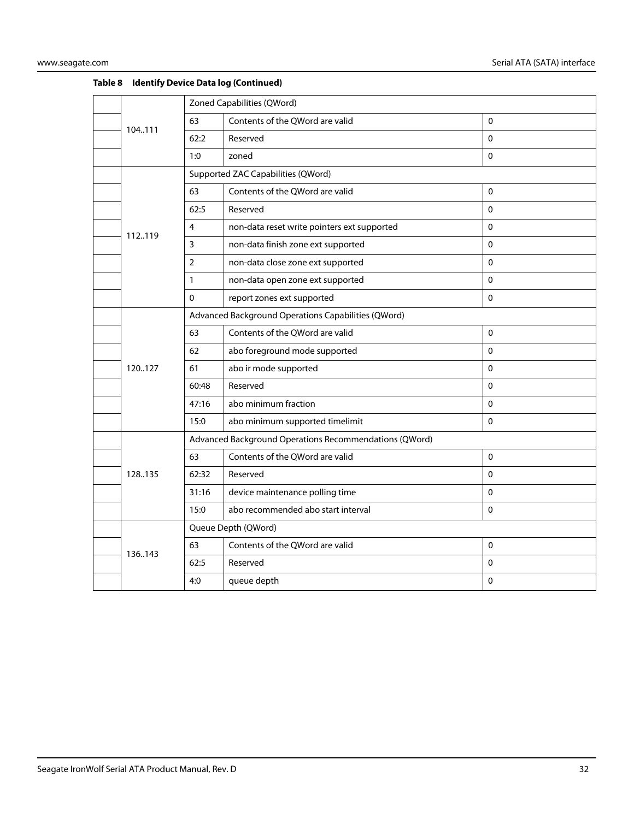|         | Zoned Capabilities (QWord) |                                                        |              |  |
|---------|----------------------------|--------------------------------------------------------|--------------|--|
| 104.111 | 63                         | Contents of the QWord are valid                        | $\Omega$     |  |
|         | 62:2                       | Reserved                                               | 0            |  |
|         | 1:0                        | zoned                                                  | 0            |  |
|         |                            | Supported ZAC Capabilities (QWord)                     |              |  |
|         | 63                         | Contents of the QWord are valid                        | $\pmb{0}$    |  |
|         | 62:5                       | Reserved                                               | $\Omega$     |  |
| 112.119 | 4                          | non-data reset write pointers ext supported            | 0            |  |
|         | 3                          | non-data finish zone ext supported                     | $\mathbf{0}$ |  |
|         | $\overline{2}$             | non-data close zone ext supported                      | $\Omega$     |  |
|         | 1                          | non-data open zone ext supported                       | $\Omega$     |  |
|         | 0                          | report zones ext supported                             | 0            |  |
|         |                            | Advanced Background Operations Capabilities (QWord)    |              |  |
|         | 63                         | Contents of the QWord are valid                        | $\mathbf 0$  |  |
|         | 62                         | abo foreground mode supported                          | 0            |  |
| 120127  | 61                         | abo ir mode supported                                  | 0            |  |
|         | 60:48                      | Reserved                                               | $\Omega$     |  |
|         | 47:16                      | abo minimum fraction                                   | $\Omega$     |  |
|         | 15:0                       | abo minimum supported timelimit                        | 0            |  |
|         |                            | Advanced Background Operations Recommendations (QWord) |              |  |
|         | 63                         | Contents of the QWord are valid                        | $\Omega$     |  |
| 128.135 | 62:32                      | Reserved                                               | $\mathbf 0$  |  |
|         | 31:16                      | device maintenance polling time                        | $\Omega$     |  |
|         | 15:0                       | abo recommended abo start interval                     | $\Omega$     |  |
|         |                            | Queue Depth (QWord)                                    |              |  |
| 136.143 | 63                         | Contents of the QWord are valid                        | 0            |  |
|         | 62:5                       | Reserved                                               | 0            |  |
|         | 4:0                        | queue depth                                            | 0            |  |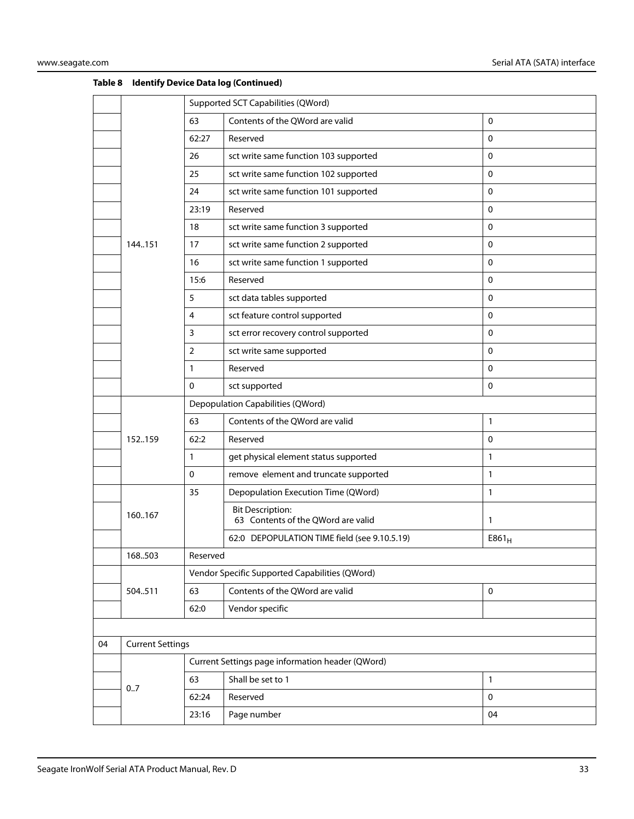|    |                         |              | Supported SCT Capabilities (QWord)                            |             |  |
|----|-------------------------|--------------|---------------------------------------------------------------|-------------|--|
|    |                         | 63           | Contents of the QWord are valid                               | $\pmb{0}$   |  |
|    |                         | 62:27        | Reserved                                                      | 0           |  |
|    |                         | 26           | sct write same function 103 supported                         | 0           |  |
|    |                         | 25           | sct write same function 102 supported                         | 0           |  |
|    |                         | 24           | sct write same function 101 supported                         | $\mathbf 0$ |  |
|    |                         | 23:19        | Reserved                                                      | $\mathbf 0$ |  |
|    |                         | 18           | sct write same function 3 supported                           | 0           |  |
|    | 144.151                 | 17           | sct write same function 2 supported                           | $\mathbf 0$ |  |
|    |                         | 16           | sct write same function 1 supported                           | 0           |  |
|    |                         | 15:6         | Reserved                                                      | 0           |  |
|    |                         | 5            | sct data tables supported                                     | 0           |  |
|    |                         | 4            | sct feature control supported                                 | $\mathbf 0$ |  |
|    |                         | 3            | sct error recovery control supported                          | $\mathbf 0$ |  |
|    |                         | 2            | sct write same supported                                      | 0           |  |
|    |                         | $\mathbf{1}$ | Reserved                                                      | $\mathbf 0$ |  |
|    |                         | $\mathbf{0}$ | sct supported                                                 | $\mathbf 0$ |  |
|    |                         |              | Depopulation Capabilities (QWord)                             |             |  |
|    |                         | 63           | Contents of the QWord are valid                               | 1           |  |
|    | 152.159                 | 62:2         | Reserved                                                      | $\mathbf 0$ |  |
|    |                         | $\mathbf{1}$ | get physical element status supported                         | 1           |  |
|    |                         | 0            | remove element and truncate supported                         | 1           |  |
|    |                         | 35           | Depopulation Execution Time (QWord)                           | 1           |  |
|    | 160167                  |              | <b>Bit Description:</b><br>63 Contents of the QWord are valid | 1           |  |
|    |                         |              | 62:0 DEPOPULATION TIME field (see 9.10.5.19)                  | $E861_H$    |  |
|    | 168.503                 | Reserved     |                                                               |             |  |
|    |                         |              | Vendor Specific Supported Capabilities (QWord)                |             |  |
|    | 504511                  | 63           | Contents of the QWord are valid                               | $\pmb{0}$   |  |
|    |                         | 62:0         | Vendor specific                                               |             |  |
|    |                         |              |                                                               |             |  |
| 04 | <b>Current Settings</b> |              |                                                               |             |  |
|    |                         |              | Current Settings page information header (QWord)              |             |  |
|    | 0.7                     | 63           | Shall be set to 1                                             | 1           |  |
|    |                         | 62:24        | Reserved                                                      | $\pmb{0}$   |  |
|    |                         | 23:16        | Page number                                                   | 04          |  |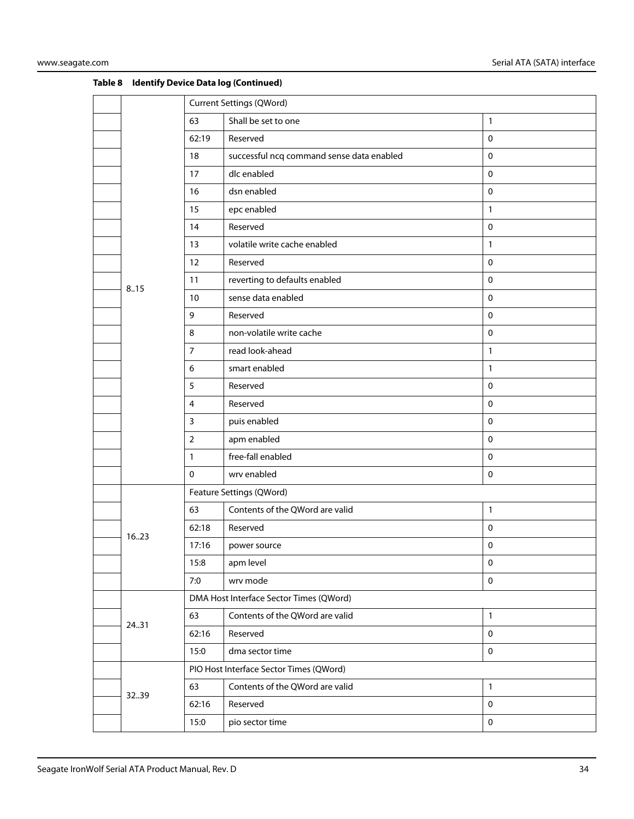|       |                | <b>Current Settings (QWord)</b>           |              |  |
|-------|----------------|-------------------------------------------|--------------|--|
|       | 63             | Shall be set to one                       | $\mathbf{1}$ |  |
|       | 62:19          | Reserved                                  | $\mathbf 0$  |  |
|       | 18             | successful ncq command sense data enabled | $\mathbf 0$  |  |
|       | 17             | dlc enabled                               | $\pmb{0}$    |  |
|       | 16             | dsn enabled                               | $\pmb{0}$    |  |
|       | 15             | epc enabled                               | $\mathbf{1}$ |  |
|       | 14             | Reserved                                  | $\pmb{0}$    |  |
|       | 13             | volatile write cache enabled              | $\mathbf{1}$ |  |
|       | 12             | Reserved                                  | $\mathbf 0$  |  |
| 8.15  | 11             | reverting to defaults enabled             | $\mathbf 0$  |  |
|       | 10             | sense data enabled                        | $\pmb{0}$    |  |
|       | 9              | Reserved                                  | $\mathbf 0$  |  |
|       | 8              | non-volatile write cache                  | $\pmb{0}$    |  |
|       | $\overline{7}$ | read look-ahead                           | $\mathbf{1}$ |  |
|       | 6              | smart enabled                             | $\mathbf{1}$ |  |
|       | 5              | Reserved                                  | $\mathbf 0$  |  |
|       | 4              | Reserved                                  | $\pmb{0}$    |  |
|       | $\mathbf{3}$   | puis enabled                              | $\mathbf 0$  |  |
|       | $\overline{2}$ | apm enabled                               | $\mathbf 0$  |  |
|       | $\mathbf{1}$   | free-fall enabled                         | $\mathbf 0$  |  |
|       | $\mathbf 0$    | wrv enabled                               | $\pmb{0}$    |  |
|       |                | Feature Settings (QWord)                  |              |  |
|       | 63             | Contents of the QWord are valid           | $\mathbf{1}$ |  |
| 1623  | 62:18          | Reserved                                  | $\mathbf 0$  |  |
|       | 17:16          | power source                              | 0            |  |
|       | 15:8           | apm level                                 | $\pmb{0}$    |  |
|       | 7:0            | wrv mode                                  | $\mathbf 0$  |  |
|       |                | DMA Host Interface Sector Times (QWord)   |              |  |
| 24.31 | 63             | Contents of the QWord are valid           | $\mathbf{1}$ |  |
|       | 62:16          | Reserved                                  | $\mathbf 0$  |  |
|       | 15:0           | dma sector time                           | $\mathbf 0$  |  |
|       |                | PIO Host Interface Sector Times (QWord)   |              |  |
| 3239  | 63             | Contents of the QWord are valid           | $\mathbf{1}$ |  |
|       | 62:16          | Reserved                                  | $\pmb{0}$    |  |
|       | 15:0           | pio sector time                           | $\pmb{0}$    |  |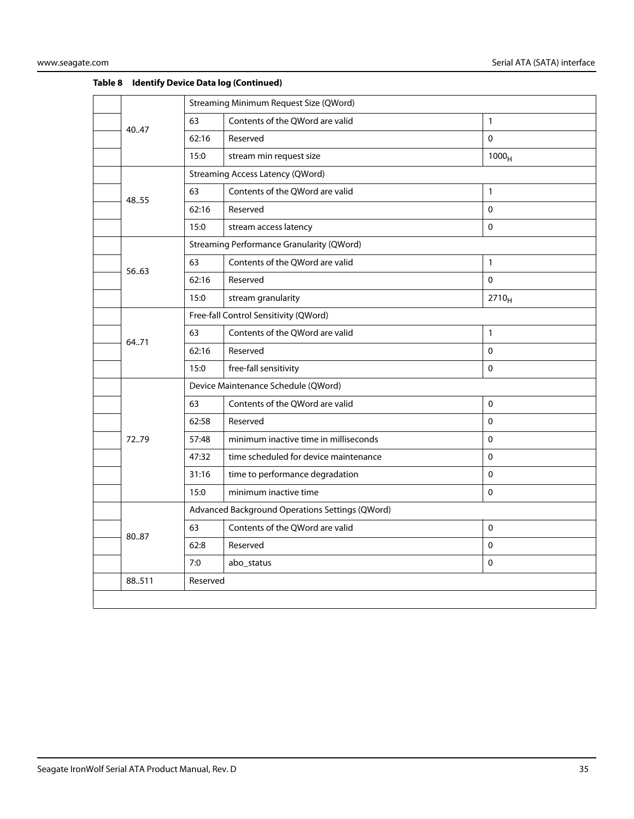|        | Streaming Minimum Request Size (QWord) |                                                  |                   |  |
|--------|----------------------------------------|--------------------------------------------------|-------------------|--|
|        | 63                                     | Contents of the QWord are valid                  | $\mathbf{1}$      |  |
| 40.47  | 62:16                                  | Reserved                                         | $\mathbf 0$       |  |
|        | 15:0                                   | stream min request size                          | 1000 <sub>H</sub> |  |
|        |                                        | <b>Streaming Access Latency (QWord)</b>          |                   |  |
| 48.55  | 63                                     | Contents of the QWord are valid                  | $\mathbf{1}$      |  |
|        | 62:16                                  | Reserved                                         | $\mathbf 0$       |  |
|        | 15:0                                   | stream access latency                            | $\Omega$          |  |
|        |                                        | <b>Streaming Performance Granularity (QWord)</b> |                   |  |
|        | 63                                     | Contents of the QWord are valid                  | $\mathbf{1}$      |  |
| 56.63  | 62:16                                  | Reserved                                         | $\mathbf{0}$      |  |
|        | 15:0                                   | stream granularity                               | $2710_H$          |  |
|        | Free-fall Control Sensitivity (QWord)  |                                                  |                   |  |
| 64.71  | 63                                     | Contents of the QWord are valid                  | $\mathbf{1}$      |  |
|        | 62:16                                  | Reserved                                         | $\Omega$          |  |
|        | 15:0                                   | free-fall sensitivity                            | $\Omega$          |  |
|        | Device Maintenance Schedule (QWord)    |                                                  |                   |  |
|        | 63                                     | Contents of the QWord are valid                  | $\mathbf 0$       |  |
|        | 62:58                                  | Reserved                                         | $\Omega$          |  |
| 72.79  | 57:48                                  | minimum inactive time in milliseconds            | $\mathbf 0$       |  |
|        | 47:32                                  | time scheduled for device maintenance            | $\mathbf 0$       |  |
|        | 31:16                                  | time to performance degradation                  | $\mathbf{0}$      |  |
|        | 15:0                                   | minimum inactive time                            | $\Omega$          |  |
|        |                                        | Advanced Background Operations Settings (QWord)  |                   |  |
| 8087   | 63                                     | Contents of the QWord are valid                  | $\Omega$          |  |
|        | 62:8                                   | Reserved                                         | $\Omega$          |  |
|        | 7:0                                    | abo_status                                       | $\mathbf 0$       |  |
| 88.511 | Reserved                               |                                                  |                   |  |
|        |                                        |                                                  |                   |  |
|        |                                        |                                                  |                   |  |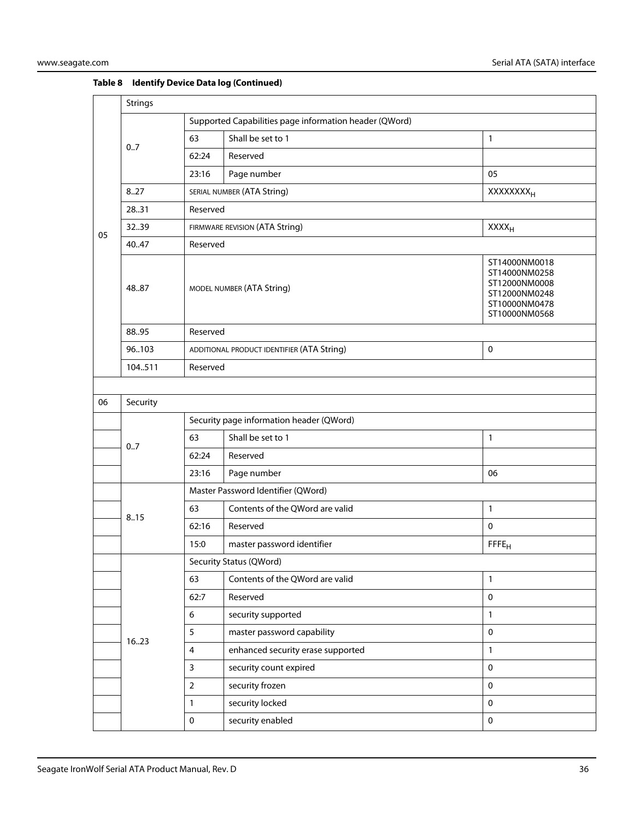|    | <b>Strings</b> |                                                        |                                                           |                                                                                                    |  |  |
|----|----------------|--------------------------------------------------------|-----------------------------------------------------------|----------------------------------------------------------------------------------------------------|--|--|
|    | 0.7            | Supported Capabilities page information header (QWord) |                                                           |                                                                                                    |  |  |
|    |                | 63                                                     | Shall be set to 1                                         | $\mathbf{1}$                                                                                       |  |  |
|    |                | 62:24                                                  | Reserved                                                  |                                                                                                    |  |  |
|    |                | 23:16                                                  | Page number                                               | 05                                                                                                 |  |  |
|    | 8.27           |                                                        | SERIAL NUMBER (ATA String)                                | <b>XXXXXXXX</b> <sub>H</sub>                                                                       |  |  |
|    | 28.31          | Reserved                                               |                                                           |                                                                                                    |  |  |
| 05 | 3239           |                                                        | FIRMWARE REVISION (ATA String)                            | XXXH                                                                                               |  |  |
|    | 40.47          | Reserved                                               |                                                           |                                                                                                    |  |  |
|    | 48.87          |                                                        | MODEL NUMBER (ATA String)                                 | ST14000NM0018<br>ST14000NM0258<br>ST12000NM0008<br>ST12000NM0248<br>ST10000NM0478<br>ST10000NM0568 |  |  |
|    | 88.95          | Reserved                                               |                                                           |                                                                                                    |  |  |
|    | 96103          |                                                        | $\mathsf 0$<br>ADDITIONAL PRODUCT IDENTIFIER (ATA String) |                                                                                                    |  |  |
|    | 104511         | Reserved                                               |                                                           |                                                                                                    |  |  |
|    |                |                                                        |                                                           |                                                                                                    |  |  |
| 06 | Security       |                                                        |                                                           |                                                                                                    |  |  |
|    |                | Security page information header (QWord)               |                                                           |                                                                                                    |  |  |
|    | 0.7            | 63                                                     | Shall be set to 1                                         | 1                                                                                                  |  |  |
|    |                | 62:24                                                  | Reserved                                                  |                                                                                                    |  |  |
|    |                | 23:16                                                  | Page number                                               | 06                                                                                                 |  |  |
|    |                | Master Password Identifier (QWord)                     |                                                           |                                                                                                    |  |  |
|    | 8.15           | 63                                                     | Contents of the QWord are valid                           | $\mathbf{1}$                                                                                       |  |  |
|    |                | 62:16                                                  | Reserved                                                  | $\mathsf 0$                                                                                        |  |  |
|    |                | 15:0                                                   | master password identifier                                | FFFE <sub>H</sub>                                                                                  |  |  |
|    |                |                                                        | Security Status (QWord)                                   |                                                                                                    |  |  |
|    |                | 63                                                     | Contents of the QWord are valid                           | 1                                                                                                  |  |  |
|    |                | 62:7                                                   | Reserved                                                  | $\mathbf 0$                                                                                        |  |  |
|    |                | 6                                                      | security supported                                        | $\mathbf{1}$                                                                                       |  |  |
|    | 1623           | 5                                                      | master password capability                                | $\pmb{0}$                                                                                          |  |  |
|    |                | $\overline{\mathbf{4}}$                                | enhanced security erase supported                         | $\mathbf{1}$                                                                                       |  |  |
|    |                | 3                                                      | security count expired                                    | $\mathbf 0$                                                                                        |  |  |
|    |                | $\overline{2}$                                         | security frozen                                           | $\mathbf 0$                                                                                        |  |  |
|    |                | 1                                                      | security locked                                           | $\mathbf 0$                                                                                        |  |  |
|    |                | 0                                                      | security enabled                                          | $\mathbf 0$                                                                                        |  |  |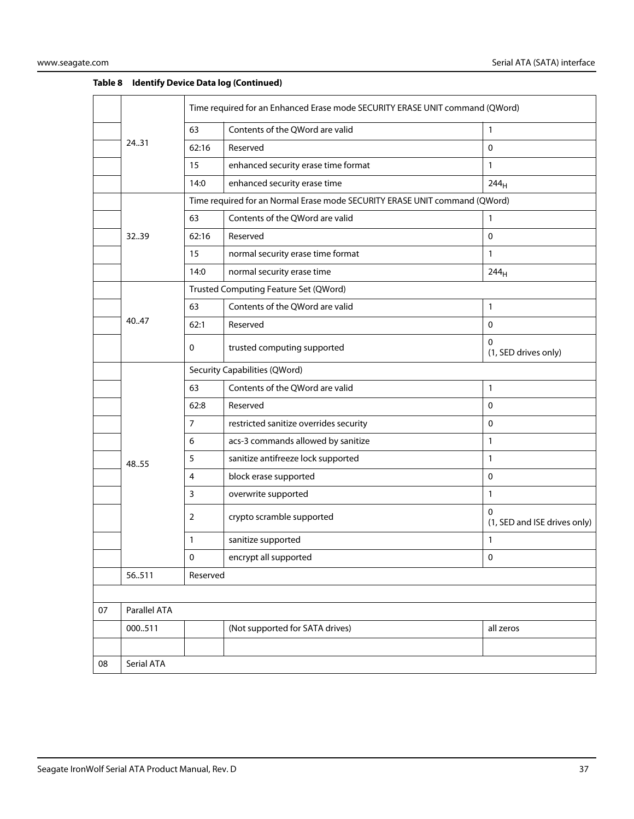|    |              | Time required for an Enhanced Erase mode SECURITY ERASE UNIT command (QWord) |                                                                            |                                          |
|----|--------------|------------------------------------------------------------------------------|----------------------------------------------------------------------------|------------------------------------------|
|    | 24.31        | 63                                                                           | Contents of the QWord are valid                                            | $\mathbf{1}$                             |
|    |              | 62:16                                                                        | Reserved                                                                   | $\mathbf 0$                              |
|    |              | 15                                                                           | enhanced security erase time format                                        | $\mathbf{1}$                             |
|    |              | 14:0                                                                         | enhanced security erase time                                               | 244 <sub>H</sub>                         |
|    |              |                                                                              | Time required for an Normal Erase mode SECURITY ERASE UNIT command (QWord) |                                          |
|    |              | 63                                                                           | Contents of the QWord are valid                                            | 1                                        |
|    | 3239         | 62:16                                                                        | Reserved                                                                   | $\mathbf 0$                              |
|    |              | 15                                                                           | normal security erase time format                                          | $\mathbf{1}$                             |
|    |              | 14:0                                                                         | normal security erase time                                                 | 244 <sub>H</sub>                         |
|    |              | Trusted Computing Feature Set (QWord)                                        |                                                                            |                                          |
|    |              | 63                                                                           | Contents of the QWord are valid                                            | $\mathbf{1}$                             |
|    | 40.47        | 62:1                                                                         | Reserved                                                                   | $\mathbf 0$                              |
|    |              | 0                                                                            | trusted computing supported                                                | 0<br>(1, SED drives only)                |
|    |              | Security Capabilities (QWord)                                                |                                                                            |                                          |
|    |              | 63                                                                           | Contents of the QWord are valid                                            | 1                                        |
|    |              | 62:8                                                                         | Reserved                                                                   | $\mathbf 0$                              |
|    |              | $\overline{7}$                                                               | restricted sanitize overrides security                                     | $\pmb{0}$                                |
|    |              | 6                                                                            | acs-3 commands allowed by sanitize                                         | $\mathbf{1}$                             |
|    | 48.55        | 5                                                                            | sanitize antifreeze lock supported                                         | $\mathbf{1}$                             |
|    |              | 4                                                                            | block erase supported                                                      | $\mathbf 0$                              |
|    |              | 3                                                                            | overwrite supported                                                        | $\mathbf{1}$                             |
|    |              | 2                                                                            | crypto scramble supported                                                  | $\Omega$<br>(1, SED and ISE drives only) |
|    |              | 1                                                                            | sanitize supported                                                         | $\mathbf{1}$                             |
|    |              | 0                                                                            | encrypt all supported                                                      | $\pmb{0}$                                |
|    | 56511        | Reserved                                                                     |                                                                            |                                          |
|    |              |                                                                              |                                                                            |                                          |
| 07 | Parallel ATA |                                                                              |                                                                            |                                          |
|    | 000511       |                                                                              | (Not supported for SATA drives)                                            | all zeros                                |
|    |              |                                                                              |                                                                            |                                          |
| 08 | Serial ATA   |                                                                              |                                                                            |                                          |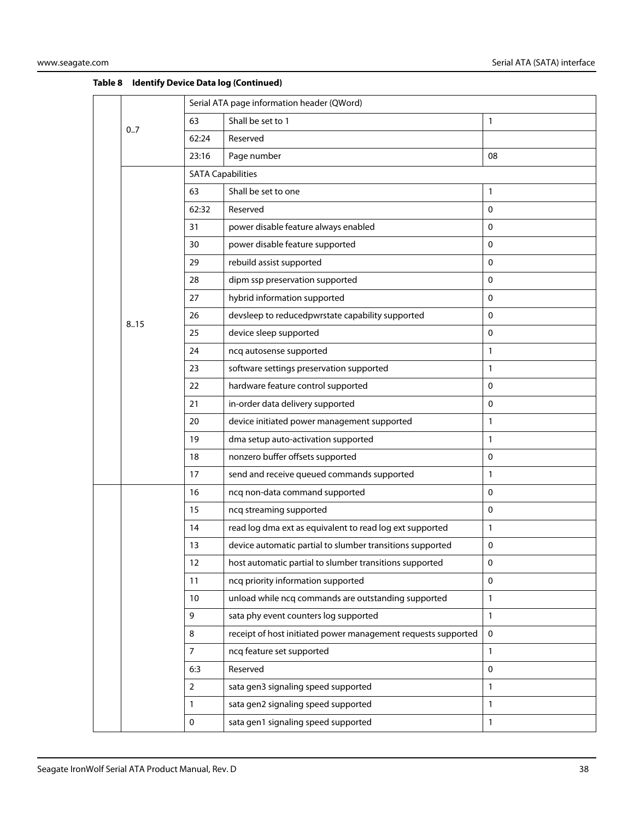|  |      | Serial ATA page information header (QWord) |                                                               |              |  |  |
|--|------|--------------------------------------------|---------------------------------------------------------------|--------------|--|--|
|  | 0.7  | 63                                         | Shall be set to 1                                             | 1            |  |  |
|  |      | 62:24                                      | Reserved                                                      |              |  |  |
|  |      | 23:16                                      | Page number                                                   | 08           |  |  |
|  |      | <b>SATA Capabilities</b>                   |                                                               |              |  |  |
|  |      | 63                                         | Shall be set to one                                           | 1            |  |  |
|  |      | 62:32                                      | Reserved                                                      | 0            |  |  |
|  |      | 31                                         | power disable feature always enabled                          | $\mathbf 0$  |  |  |
|  |      | 30                                         | power disable feature supported                               | $\mathbf 0$  |  |  |
|  |      | 29                                         | rebuild assist supported                                      | 0            |  |  |
|  |      | 28                                         | dipm ssp preservation supported                               | 0            |  |  |
|  |      | 27                                         | hybrid information supported                                  | 0            |  |  |
|  |      | 26                                         | devsleep to reducedpwrstate capability supported              | 0            |  |  |
|  | 8.15 | 25                                         | device sleep supported                                        | 0            |  |  |
|  |      | 24                                         | ncq autosense supported                                       | $\mathbf{1}$ |  |  |
|  |      | 23                                         | software settings preservation supported                      | $\mathbf{1}$ |  |  |
|  |      | 22                                         | hardware feature control supported                            | 0            |  |  |
|  |      | 21                                         | in-order data delivery supported                              | 0            |  |  |
|  |      | 20                                         | device initiated power management supported                   | 1            |  |  |
|  |      | 19                                         | dma setup auto-activation supported                           | 1            |  |  |
|  |      | 18                                         | nonzero buffer offsets supported                              | 0            |  |  |
|  |      | 17                                         | send and receive queued commands supported                    | $\mathbf{1}$ |  |  |
|  |      | 16                                         | ncq non-data command supported                                | $\mathbf{0}$ |  |  |
|  |      | 15                                         | ncq streaming supported                                       | $\mathbf 0$  |  |  |
|  |      | 14                                         | read log dma ext as equivalent to read log ext supported      | 1            |  |  |
|  |      | 13                                         | device automatic partial to slumber transitions supported     | 0            |  |  |
|  |      | 12                                         | host automatic partial to slumber transitions supported       | 0            |  |  |
|  |      | 11                                         | ncq priority information supported                            | $\mathbf 0$  |  |  |
|  |      | 10                                         | unload while ncq commands are outstanding supported           | $\mathbf{1}$ |  |  |
|  |      | 9                                          | sata phy event counters log supported                         | $\mathbf{1}$ |  |  |
|  |      | 8                                          | receipt of host initiated power management requests supported | $\mathbf 0$  |  |  |
|  |      | $\overline{7}$                             | ncq feature set supported                                     | 1            |  |  |
|  |      | 6:3                                        | Reserved                                                      | 0            |  |  |
|  |      | $\overline{2}$                             | sata gen3 signaling speed supported                           | 1            |  |  |
|  |      | $\mathbf{1}$                               | sata gen2 signaling speed supported                           | 1            |  |  |
|  |      | $\pmb{0}$                                  | sata gen1 signaling speed supported                           | 1            |  |  |
|  |      |                                            |                                                               |              |  |  |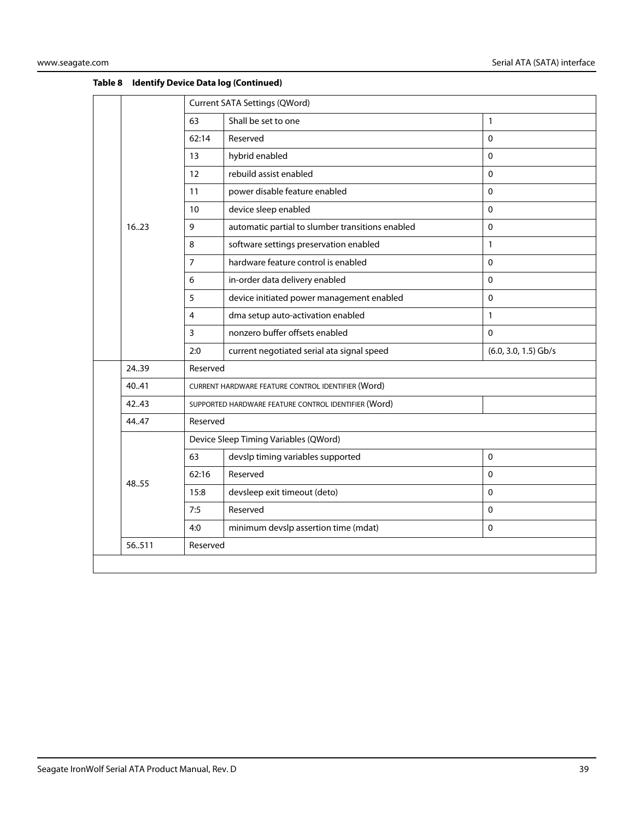|  | 1623  | <b>Current SATA Settings (QWord)</b>  |                                                      |                        |  |  |
|--|-------|---------------------------------------|------------------------------------------------------|------------------------|--|--|
|  |       | 63                                    | Shall be set to one                                  | $\mathbf{1}$           |  |  |
|  |       | 62:14                                 | Reserved                                             | 0                      |  |  |
|  |       | 13                                    | hybrid enabled                                       | $\Omega$               |  |  |
|  |       | 12                                    | rebuild assist enabled                               | $\mathbf{0}$           |  |  |
|  |       | 11                                    | power disable feature enabled                        | $\mathbf 0$            |  |  |
|  |       | 10                                    | device sleep enabled                                 | $\mathbf 0$            |  |  |
|  |       | 9                                     | automatic partial to slumber transitions enabled     | $\mathbf 0$            |  |  |
|  |       | 8                                     | software settings preservation enabled               | $\mathbf{1}$           |  |  |
|  |       | $\overline{7}$                        | hardware feature control is enabled                  | $\mathbf{0}$           |  |  |
|  |       | 6                                     | in-order data delivery enabled                       | 0                      |  |  |
|  |       | 5                                     | device initiated power management enabled            | $\mathbf 0$            |  |  |
|  |       | 4                                     | dma setup auto-activation enabled                    | $\mathbf{1}$           |  |  |
|  |       | 3                                     | nonzero buffer offsets enabled                       | $\Omega$               |  |  |
|  |       | 2:0                                   | current negotiated serial ata signal speed           | $(6.0, 3.0, 1.5)$ Gb/s |  |  |
|  | 24.39 | Reserved                              |                                                      |                        |  |  |
|  | 40.41 |                                       | CURRENT HARDWARE FEATURE CONTROL IDENTIFIER (Word)   |                        |  |  |
|  | 42.43 |                                       | SUPPORTED HARDWARE FEATURE CONTROL IDENTIFIER (Word) |                        |  |  |
|  | 44.47 | Reserved                              |                                                      |                        |  |  |
|  | 48.55 | Device Sleep Timing Variables (QWord) |                                                      |                        |  |  |
|  |       | 63                                    | devslp timing variables supported                    | $\mathsf 0$            |  |  |
|  |       | 62:16                                 | Reserved                                             | $\Omega$               |  |  |
|  |       | 15:8                                  | devsleep exit timeout (deto)                         | $\Omega$               |  |  |
|  |       | 7:5                                   | Reserved                                             | $\pmb{0}$              |  |  |
|  |       | 4:0                                   | minimum devslp assertion time (mdat)                 | $\mathsf 0$            |  |  |
|  | 56511 | Reserved                              |                                                      |                        |  |  |
|  |       |                                       |                                                      |                        |  |  |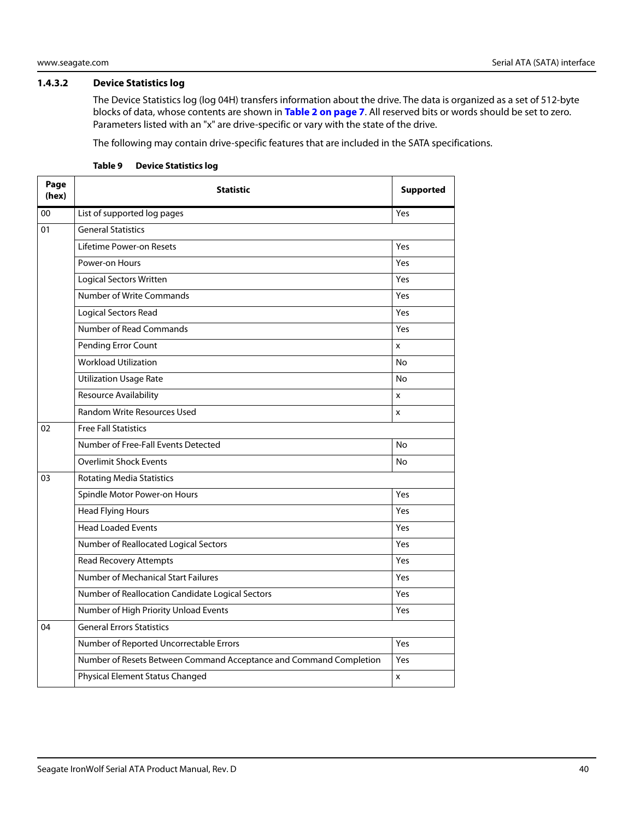#### <span id="page-40-0"></span>**1.4.3.2 Device Statistics log**

The Device Statistics log (log 04H) transfers information about the drive. The data is organized as a set of 512-byte blocks of data, whose contents are shown in **[Table 2 on page 7](#page-7-2)**. All reserved bits or words should be set to zero. Parameters listed with an "x" are drive-specific or vary with the state of the drive.

The following may contain drive-specific features that are included in the SATA specifications.

| Page<br>(hex) | <b>Statistic</b>                                                   | <b>Supported</b> |  |  |  |
|---------------|--------------------------------------------------------------------|------------------|--|--|--|
| 00            | List of supported log pages                                        | Yes              |  |  |  |
| 01            | <b>General Statistics</b>                                          |                  |  |  |  |
|               | Lifetime Power-on Resets                                           | Yes              |  |  |  |
|               | Power-on Hours                                                     | Yes              |  |  |  |
|               | <b>Logical Sectors Written</b>                                     | Yes              |  |  |  |
|               | Number of Write Commands                                           | Yes              |  |  |  |
|               | Logical Sectors Read                                               | Yes              |  |  |  |
|               | Number of Read Commands                                            | Yes              |  |  |  |
|               | Pending Error Count                                                | x                |  |  |  |
|               | <b>Workload Utilization</b>                                        | No               |  |  |  |
|               | <b>Utilization Usage Rate</b>                                      | <b>No</b>        |  |  |  |
|               | <b>Resource Availability</b>                                       | x                |  |  |  |
|               | <b>Random Write Resources Used</b>                                 | X                |  |  |  |
| 02            | <b>Free Fall Statistics</b>                                        |                  |  |  |  |
|               | Number of Free-Fall Events Detected                                | No               |  |  |  |
|               | <b>Overlimit Shock Events</b>                                      | <b>No</b>        |  |  |  |
| 03            | <b>Rotating Media Statistics</b>                                   |                  |  |  |  |
|               | Spindle Motor Power-on Hours                                       | Yes              |  |  |  |
|               | <b>Head Flying Hours</b>                                           | Yes              |  |  |  |
|               | <b>Head Loaded Events</b>                                          | Yes              |  |  |  |
|               | Number of Reallocated Logical Sectors                              | Yes              |  |  |  |
|               | <b>Read Recovery Attempts</b>                                      | Yes              |  |  |  |
|               | <b>Number of Mechanical Start Failures</b>                         | Yes              |  |  |  |
|               | Number of Reallocation Candidate Logical Sectors                   | Yes              |  |  |  |
|               | Number of High Priority Unload Events                              | Yes              |  |  |  |
| 04            | <b>General Errors Statistics</b>                                   |                  |  |  |  |
|               | Number of Reported Uncorrectable Errors                            | Yes              |  |  |  |
|               | Number of Resets Between Command Acceptance and Command Completion | Yes              |  |  |  |
|               | Physical Element Status Changed                                    | X                |  |  |  |

#### **Table 9 Device Statistics log**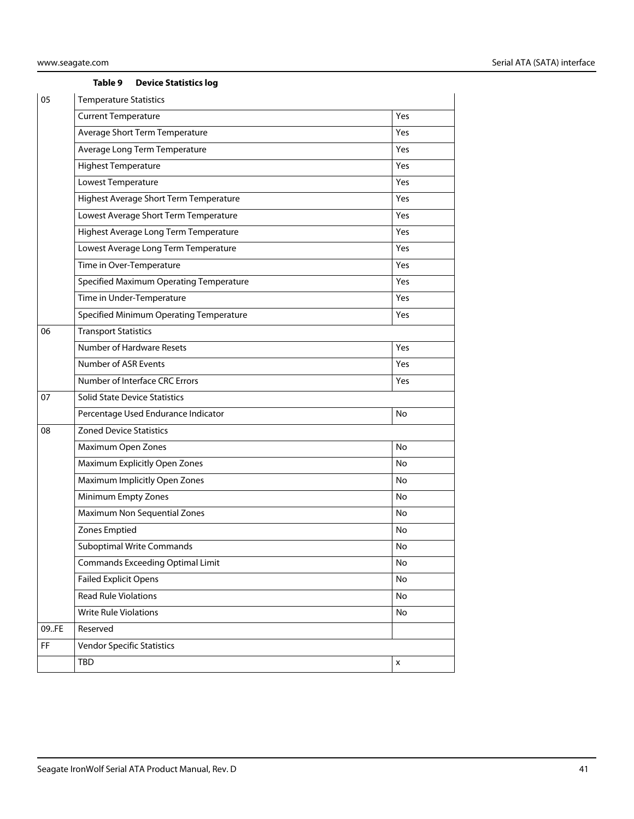#### **Table 9 Device Statistics log**

| 05        | <b>Temperature Statistics</b>           |     |  |  |  |  |
|-----------|-----------------------------------------|-----|--|--|--|--|
|           | <b>Current Temperature</b>              | Yes |  |  |  |  |
|           | Average Short Term Temperature          | Yes |  |  |  |  |
|           | Average Long Term Temperature           | Yes |  |  |  |  |
|           | <b>Highest Temperature</b>              | Yes |  |  |  |  |
|           | Lowest Temperature                      | Yes |  |  |  |  |
|           | Highest Average Short Term Temperature  | Yes |  |  |  |  |
|           | Lowest Average Short Term Temperature   | Yes |  |  |  |  |
|           | Highest Average Long Term Temperature   | Yes |  |  |  |  |
|           | Lowest Average Long Term Temperature    | Yes |  |  |  |  |
|           | Time in Over-Temperature                | Yes |  |  |  |  |
|           | Specified Maximum Operating Temperature | Yes |  |  |  |  |
|           | Time in Under-Temperature               | Yes |  |  |  |  |
|           | Specified Minimum Operating Temperature | Yes |  |  |  |  |
| 06        | <b>Transport Statistics</b>             |     |  |  |  |  |
|           | Number of Hardware Resets               | Yes |  |  |  |  |
|           | Number of ASR Events                    | Yes |  |  |  |  |
|           | Number of Interface CRC Errors          | Yes |  |  |  |  |
| 07        | <b>Solid State Device Statistics</b>    |     |  |  |  |  |
|           | Percentage Used Endurance Indicator     | No  |  |  |  |  |
| 08        | <b>Zoned Device Statistics</b>          |     |  |  |  |  |
|           | Maximum Open Zones                      | No  |  |  |  |  |
|           | Maximum Explicitly Open Zones           | No  |  |  |  |  |
|           | Maximum Implicitly Open Zones           | No  |  |  |  |  |
|           | Minimum Empty Zones                     | No  |  |  |  |  |
|           | Maximum Non Sequential Zones            | No  |  |  |  |  |
|           | Zones Emptied                           | No  |  |  |  |  |
|           | <b>Suboptimal Write Commands</b>        | No  |  |  |  |  |
|           | <b>Commands Exceeding Optimal Limit</b> | No  |  |  |  |  |
|           | <b>Failed Explicit Opens</b>            | No  |  |  |  |  |
|           | <b>Read Rule Violations</b>             | No  |  |  |  |  |
|           | <b>Write Rule Violations</b>            | No  |  |  |  |  |
| 09.FE     | Reserved                                |     |  |  |  |  |
| <b>FF</b> | <b>Vendor Specific Statistics</b>       |     |  |  |  |  |
|           | TBD                                     | x   |  |  |  |  |
|           |                                         |     |  |  |  |  |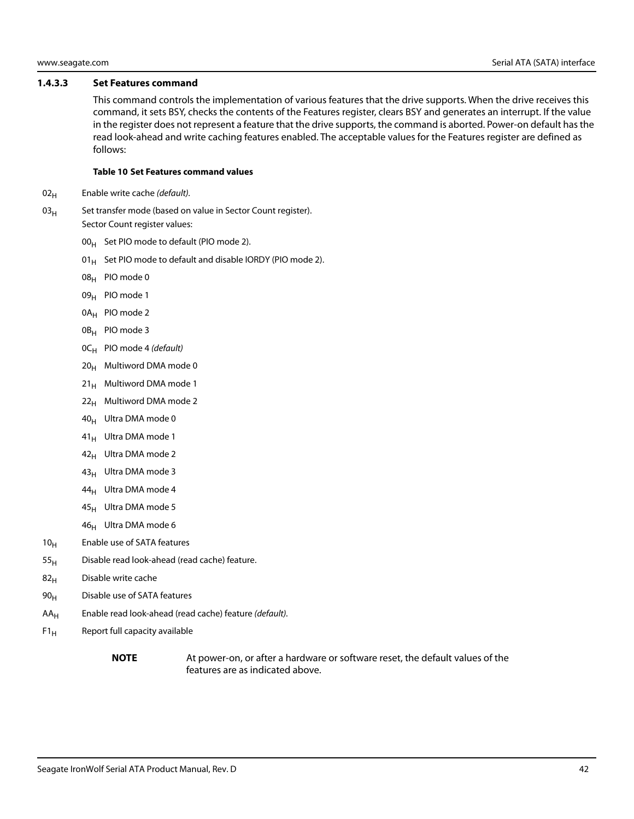#### <span id="page-42-0"></span>**1.4.3.3 Set Features command**

This command controls the implementation of various features that the drive supports. When the drive receives this command, it sets BSY, checks the contents of the Features register, clears BSY and generates an interrupt. If the value in the register does not represent a feature that the drive supports, the command is aborted. Power-on default has the read look-ahead and write caching features enabled. The acceptable values for the Features register are defined as follows:

#### **Table 10 Set Features command values**

- $02_H$  Enable write cache (default).
- $03<sub>H</sub>$  Set transfer mode (based on value in Sector Count register). Sector Count register values:
	- $00_H$  Set PIO mode to default (PIO mode 2).
	- 01 $_{\rm H}$  Set PIO mode to default and disable IORDY (PIO mode 2).
	- 08H PIO mode 0
	- 09<sub>H</sub> PIO mode 1
	- 0A<sub>H</sub> PIO mode 2
	- 0B<sub>H</sub> PIO mode 3
	- $OC_H$  PIO mode 4 (default)
	- $20_H$  Multiword DMA mode 0
	- $21_H$  Multiword DMA mode 1
	- $22<sub>H</sub>$  Multiword DMA mode 2
	- $40_H$  Ultra DMA mode 0
	- $41_H$  Ultra DMA mode 1
	- 42<sub>H</sub> Ultra DMA mode 2
	- 43<sub>H</sub> Ultra DMA mode 3
	- 44<sub>H</sub> Ultra DMA mode 4
	- $45_H$  Ultra DMA mode 5
	- 46<sub>H</sub> Ultra DMA mode 6
- $10<sub>H</sub>$  Enable use of SATA features
- $55<sub>H</sub>$  Disable read look-ahead (read cache) feature.
- $82<sub>H</sub>$  Disable write cache
- 90<sub>H</sub> Disable use of SATA features
- $AA_H$  Enable read look-ahead (read cache) feature (*default*).
- $F1_H$  Report full capacity available
	-

**NOTE** At power-on, or after a hardware or software reset, the default values of the features are as indicated above.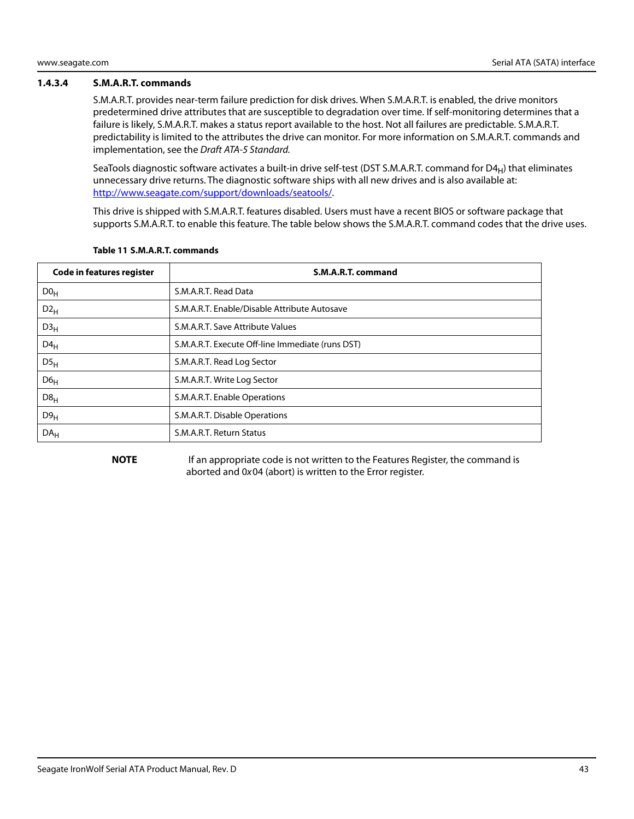#### <span id="page-43-0"></span>**1.4.3.4 S.M.A.R.T. commands**

S.M.A.R.T. provides near-term failure prediction for disk drives. When S.M.A.R.T. is enabled, the drive monitors predetermined drive attributes that are susceptible to degradation over time. If self-monitoring determines that a failure is likely, S.M.A.R.T. makes a status report available to the host. Not all failures are predictable. S.M.A.R.T. predictability is limited to the attributes the drive can monitor. For more information on S.M.A.R.T. commands and implementation, see the Draft ATA-5 Standard.

SeaTools diagnostic software activates a built-in drive self-test (DST S.M.A.R.T. command for  $D4_H$ ) that eliminates unnecessary drive returns. The diagnostic software ships with all new drives and is also available at: [http://www.seagate.com/support/downloads/seatools/.](http://www.seagate.com/support/downloads/seatools/ )

This drive is shipped with S.M.A.R.T. features disabled. Users must have a recent BIOS or software package that supports S.M.A.R.T. to enable this feature. The table below shows the S.M.A.R.T. command codes that the drive uses.

| <b>Code in features register</b> | S.M.A.R.T. command                               |
|----------------------------------|--------------------------------------------------|
| D0 <sub>H</sub>                  | S.M.A.R.T. Read Data                             |
| $D2_H$                           | S.M.A.R.T. Enable/Disable Attribute Autosave     |
| D3 <sub>H</sub>                  | S.M.A.R.T. Save Attribute Values                 |
| $D4_H$                           | S.M.A.R.T. Execute Off-line Immediate (runs DST) |
| DS <sub>H</sub>                  | S.M.A.R.T. Read Log Sector                       |
| D6 <sub>H</sub>                  | S.M.A.R.T. Write Log Sector                      |
| D8 <sub>H</sub>                  | S.M.A.R.T. Enable Operations                     |
| D9 <sub>H</sub>                  | S.M.A.R.T. Disable Operations                    |
| DA <sub>H</sub>                  | S.M.A.R.T. Return Status                         |

#### **Table 11 S.M.A.R.T. commands**

**NOTE** If an appropriate code is not written to the Features Register, the command is aborted and 0x04 (abort) is written to the Error register.